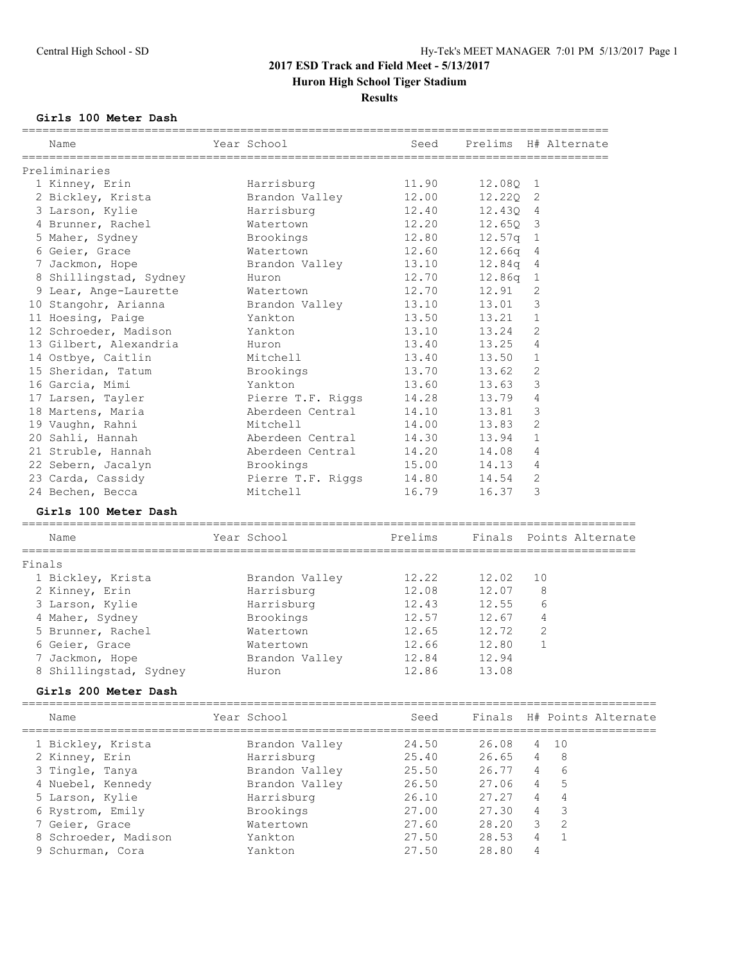## **Results**

## **Girls 100 Meter Dash**

| Name                   | Year School       | Seed    |            | Prelims H# Alternate       |
|------------------------|-------------------|---------|------------|----------------------------|
| Preliminaries          |                   |         |            |                            |
| 1 Kinney, Erin         | Harrisburg        | 11.90   | 12.08Q 1   |                            |
| 2 Bickley, Krista      | Brandon Valley    | 12.00   | 12.220 2   |                            |
| 3 Larson, Kylie        | Harrisburg        | 12.40   | 12.430 4   |                            |
| 4 Brunner, Rachel      | Watertown         | 12.20   | $12.65Q$ 3 |                            |
| 5 Maher, Sydney        | Brookings         | 12.80   | 12.57q 1   |                            |
| 6 Geier, Grace         | Watertown         | 12.60   | $12.66q$ 4 |                            |
| 7 Jackmon, Hope        | Brandon Valley    | 13.10   | 12.84q 4   |                            |
| 8 Shillingstad, Sydney | Huron             | 12.70   | $12.86q$ 1 |                            |
| 9 Lear, Ange-Laurette  | Watertown         | 12.70   | 12.91      | 2                          |
| 10 Stangohr, Arianna   | Brandon Valley    | 13.10   | 13.01 3    |                            |
| 11 Hoesing, Paige      | Yankton           | 13.50   | 13.21      | 1                          |
| 12 Schroeder, Madison  | Yankton           | 13.10   | 13.24      | 2                          |
| 13 Gilbert, Alexandria | Huron             | 13.40   | 13.25      | $\overline{4}$             |
| 14 Ostbye, Caitlin     | Mitchell          | 13.40   | 13.50 1    |                            |
| 15 Sheridan, Tatum     | Brookings         | 13.70   | 13.62      | 2                          |
| 16 Garcia, Mimi        | Yankton           | 13.60   | 13.63      | $\overline{\mathbf{3}}$    |
| 17 Larsen, Tayler      | Pierre T.F. Riggs | 14.28   | 13.79      | 4                          |
| 18 Martens, Maria      | Aberdeen Central  | 14.10   | 13.81      | 3                          |
| 19 Vaughn, Rahni       | Mitchell          | 14.00   | 13.83      | $\mathbf{2}$               |
| 20 Sahli, Hannah       | Aberdeen Central  | 14.30   | 13.94      | $\mathbf{1}$               |
| 21 Struble, Hannah     | Aberdeen Central  | 14.20   | 14.08      | 4                          |
| 22 Sebern, Jacalyn     | Brookings         | 15.00   | 14.13 4    |                            |
| 23 Carda, Cassidy      | Pierre T.F. Riggs | 14.80   | 14.54      | 2                          |
| 24 Bechen, Becca       | Mitchell          | 16.79   | 16.37      | 3                          |
| Girls 100 Meter Dash   |                   |         |            |                            |
| Name                   | Year School       | Prelims |            | Finals Points Alternate    |
| Finals                 |                   |         |            |                            |
| 1 Bickley, Krista      | Brandon Valley    | 12.22   | 12.02      | 10                         |
| 2 Kinney, Erin         | Harrisburg        | 12.08   | 12.07      | 8                          |
| 3 Larson, Kylie        | Harrisburg        | 12.43   | 12.55      | 6                          |
| 4 Maher, Sydney        | Brookings         | 12.57   | 12.67      | 4                          |
| 5 Brunner, Rachel      | Watertown         | 12.65   | 12.72      | 2                          |
| 6 Geier, Grace         | Watertown         | 12.66   | 12.80      | $\mathbf{1}$               |
| 7 Jackmon, Hope        | Brandon Valley    | 12.84   | 12.94      |                            |
| 8 Shillingstad, Sydney | Huron             | 12.86   | 13.08      |                            |
| Girls 200 Meter Dash   |                   |         |            |                            |
| Name                   | Year School       | Seed    |            | Finals H# Points Alternate |
| 1 Bickley, Krista      | Brandon Valley    | 24.50   | 26.08      | 10<br>4                    |
| 2 Kinney, Erin         | Harrisburg        | 25.40   | 26.65      | 8<br>4                     |
| 3 Tingle, Tanya        | Brandon Valley    | 25.50   | 26.77      | 6<br>4                     |
| 4 Nuebel, Kennedy      | Brandon Valley    | 26.50   | 27.06      | 5<br>4                     |
| 5 Larson, Kylie        | Harrisburg        | 26.10   | 27.27      | 4<br>4                     |
| 6 Rystrom, Emily       | Brookings         | 27.00   | 27.30      | 3<br>4                     |
| 7 Geier, Grace         | Watertown         | 27.60   | 28.20      | $\overline{2}$<br>3        |
| 8 Schroeder, Madison   | Yankton           | 27.50   | 28.53      | $\mathbf{1}$<br>4          |
| 9 Schurman, Cora       | Yankton           | 27.50   | 28.80      | 4                          |
|                        |                   |         |            |                            |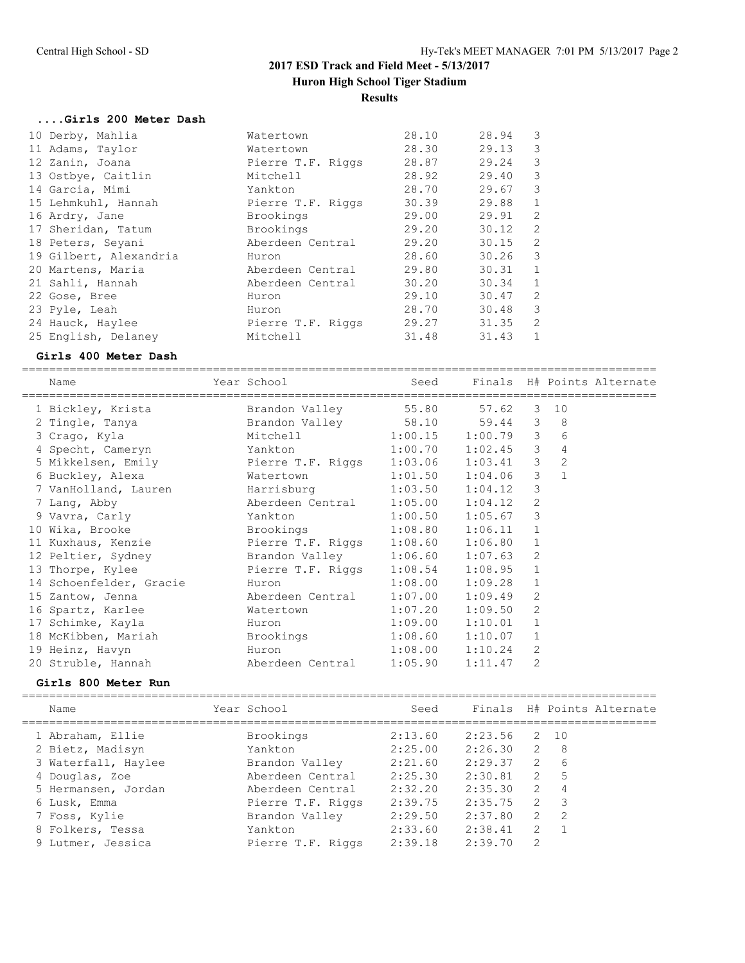#### **Results**

#### **....Girls 200 Meter Dash**

| 10 Derby, Mahlia       | Watertown         | 28.10 | 28.94 | 3            |
|------------------------|-------------------|-------|-------|--------------|
| 11 Adams, Taylor       | Watertown         | 28.30 | 29.13 | 3            |
| 12 Zanin, Joana        | Pierre T.F. Riggs | 28.87 | 29.24 | 3            |
| 13 Ostbye, Caitlin     | Mitchell          | 28.92 | 29.40 | 3            |
| 14 Garcia, Mimi        | Yankton           | 28.70 | 29.67 | 3            |
| 15 Lehmkuhl, Hannah    | Pierre T.F. Riggs | 30.39 | 29.88 | $\mathbf{1}$ |
| 16 Ardry, Jane         | Brookings         | 29.00 | 29.91 | 2            |
| 17 Sheridan, Tatum     | Brookings         | 29.20 | 30.12 | 2            |
| 18 Peters, Seyani      | Aberdeen Central  | 29.20 | 30.15 | 2            |
| 19 Gilbert, Alexandria | Huron             | 28.60 | 30.26 | 3            |
| 20 Martens, Maria      | Aberdeen Central  | 29.80 | 30.31 | 1            |
| 21 Sahli, Hannah       | Aberdeen Central  | 30.20 | 30.34 | $\mathbf{1}$ |
| 22 Gose, Bree          | Huron             | 29.10 | 30.47 | 2            |
| 23 Pyle, Leah          | Huron             | 28.70 | 30.48 | 3            |
| 24 Hauck, Haylee       | Pierre T.F. Riggs | 29.27 | 31.35 | 2            |
| 25 English, Delaney    | Mitchell          | 31.48 | 31.43 | 1            |
|                        |                   |       |       |              |

#### **Girls 400 Meter Dash**

============================================================================================= Name The Year School Seed Finals H# Points Alternate ============================================================================================= 1 Bickley, Krista Brandon Valley 55.80 57.62 3 10 2 Tingle, Tanya Brandon Valley 58.10 59.44 3 8 3 Crago, Kyla Mitchell 1:00.15 1:00.79 3 6 4 Specht, Cameryn Yankton 1:00.70 1:02.45 3 4 5 Mikkelsen, Emily Pierre T.F. Riggs 1:03.06 1:03.41 3 2 6 Buckley, Alexa Watertown 1:01.50 1:04.06 3 1 7 VanHolland, Lauren Harrisburg 1:03.50 1:04.12 3 7 Lang, Abby Aberdeen Central 1:05.00 1:04.12 2 9 Vavra, Carly Yankton 1:00.50 1:05.67 3 10 Wika, Brooke Brookings 1:08.80 1:06.11 1 11 Kuxhaus, Kenzie Pierre T.F. Riggs 1:08.60 1:06.80 1 12 Peltier, Sydney Brandon Valley 1:06.60 1:07.63 2 13 Thorpe, Kylee Pierre T.F. Riggs 1:08.54 1:08.95 1 14 Schoenfelder, Gracie Huron 1:08.00 1:09.28 1 15 Zantow, Jenna Aberdeen Central 1:07.00 1:09.49 2 16 Spartz, Karlee Watertown 1:07.20 1:09.50 2 17 Schimke, Kayla Huron 1:09.00 1:10.01 1 18 McKibben, Mariah Brookings 1:08.60 1:10.07 1 19 Heinz, Havyn Huron 1:08.00 1:10.24 2 20 Struble, Hannah Aberdeen Central 1:05.90 1:11.47 2

#### **Girls 800 Meter Run**

| Name                | Year School       | Seed    |         |                | Finals H# Points Alternate |
|---------------------|-------------------|---------|---------|----------------|----------------------------|
| 1 Abraham, Ellie    | Brookings         | 2:13.60 | 2:23.56 |                | 2 10                       |
| 2 Bietz, Madisyn    | Yankton           | 2:25.00 | 2:26.30 | 2              | - 8                        |
| 3 Waterfall, Haylee | Brandon Valley    | 2:21.60 | 2:29.37 | $\overline{2}$ | - 6                        |
| 4 Douglas, Zoe      | Aberdeen Central  | 2:25.30 | 2:30.81 | $\overline{2}$ | .5                         |
| 5 Hermansen, Jordan | Aberdeen Central  | 2:32.20 | 2:35.30 | $\overline{2}$ | $\overline{4}$             |
| 6 Lusk, Emma        | Pierre T.F. Riggs | 2:39.75 | 2:35.75 | $\overline{2}$ | - 3                        |
| 7 Foss, Kylie       | Brandon Valley    | 2:29.50 | 2:37.80 | 2              | - 2                        |
| 8 Folkers, Tessa    | Yankton           | 2:33.60 | 2:38.41 | $\overline{2}$ | $\overline{1}$             |
| 9 Lutmer, Jessica   | Pierre T.F. Riggs | 2:39.18 | 2:39.70 | 2              |                            |
|                     |                   |         |         |                |                            |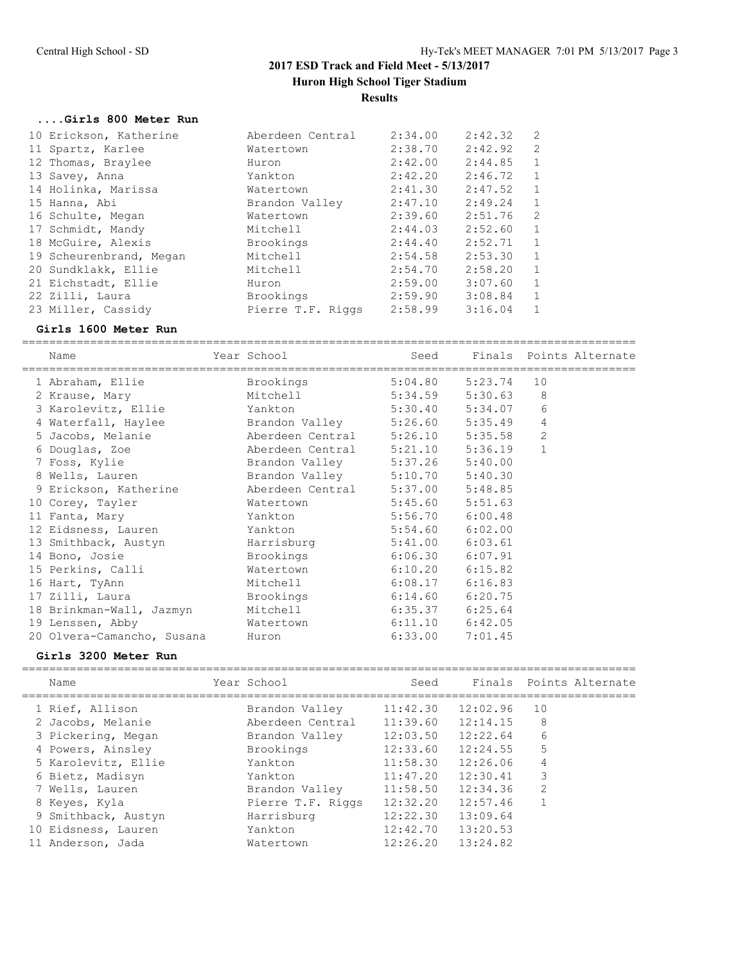#### **....Girls 800 Meter Run**

| 10 Erickson, Katherine  | Aberdeen Central  | 2:34.00 | 2:42.32 | $\overline{2}$ |
|-------------------------|-------------------|---------|---------|----------------|
| 11 Spartz, Karlee       | Watertown         | 2:38.70 | 2:42.92 | 2              |
| 12 Thomas, Braylee      | Huron             | 2:42.00 | 2:44.85 | $\mathbf{1}$   |
| 13 Savey, Anna          | Yankton           | 2:42.20 | 2:46.72 | 1              |
| 14 Holinka, Marissa     | Watertown         | 2:41.30 | 2:47.52 | $\mathbf{1}$   |
| 15 Hanna, Abi           | Brandon Valley    | 2:47.10 | 2:49.24 | $\mathbf{1}$   |
| 16 Schulte, Megan       | Watertown         | 2:39.60 | 2:51.76 | 2              |
| 17 Schmidt, Mandy       | Mitchell          | 2:44.03 | 2:52.60 | $\mathbf{1}$   |
| 18 McGuire, Alexis      | Brookings         | 2:44.40 | 2:52.71 | 1              |
| 19 Scheurenbrand, Megan | Mitchell          | 2:54.58 | 2:53.30 | 1              |
| 20 Sundklakk, Ellie     | Mitchell          | 2:54.70 | 2:58.20 | $\mathbf{1}$   |
| 21 Eichstadt, Ellie     | Huron             | 2:59.00 | 3:07.60 | $\mathbf{1}$   |
| 22 Zilli, Laura         | Brookings         | 2:59.90 | 3:08.84 | 1              |
| 23 Miller, Cassidy      | Pierre T.F. Riggs | 2:58.99 | 3:16.04 |                |

#### **Girls 1600 Meter Run**

========================================================================================== Name Year School Seed Finals Points Alternate ========================================================================================== 1 Abraham, Ellie Brookings 5:04.80 5:23.74 10 2 Krause, Mary Mitchell 5:34.59 5:30.63 8 3 Karolevitz, Ellie Yankton 5:30.40 5:34.07 6 4 Waterfall, Haylee Brandon Valley 5:26.60 5:35.49 4 5 Jacobs, Melanie Aberdeen Central 5:26.10 5:35.58 2 6 Douglas, Zoe Aberdeen Central 5:21.10 5:36.19 1 7 Foss, Kylie Brandon Valley 5:37.26 5:40.00 8 Wells, Lauren Brandon Valley 5:10.70 5:40.30 9 Erickson, Katherine Aberdeen Central 5:37.00 5:48.85 10 Corey, Tayler Watertown 5:45.60 5:51.63 11 Fanta, Mary Yankton 5:56.70 6:00.48 12 Eidsness, Lauren Yankton 5:54.60 6:02.00 13 Smithback, Austyn Harrisburg 5:41.00 6:03.61 14 Bono, Josie Brookings 6:06.30 6:07.91 15 Perkins, Calli Watertown 6:10.20 6:15.82 16 Hart, TyAnn Mitchell 6:08.17 6:16.83 17 Zilli, Laura Brookings 6:14.60 6:20.75 18 Brinkman-Wall, Jazmyn Mitchell 6:35.37 6:25.64 19 Lenssen, Abby Watertown 6:11.10 6:42.05 20 Olvera-Camancho, Susana Huron 6:33.00 7:01.45

#### **Girls 3200 Meter Run**

| Name                                                                                                                                                                                  | Year School                                                                                                                                  | Seed                                                                                                                              |                                                                                                          | Finals Points Alternate          |
|---------------------------------------------------------------------------------------------------------------------------------------------------------------------------------------|----------------------------------------------------------------------------------------------------------------------------------------------|-----------------------------------------------------------------------------------------------------------------------------------|----------------------------------------------------------------------------------------------------------|----------------------------------|
| 1 Rief, Allison<br>2 Jacobs, Melanie<br>3 Pickering, Megan<br>4 Powers, Ainsley<br>5 Karolevitz, Ellie<br>6 Bietz, Madisyn<br>7 Wells, Lauren<br>8 Keyes, Kyla<br>9 Smithback, Austyn | Brandon Valley<br>Aberdeen Central<br>Brandon Valley<br>Brookings<br>Yankton<br>Yankton<br>Brandon Valley<br>Pierre T.F. Riggs<br>Harrisburg | 11:42.30<br>$11:39.60$ $12:14.15$<br>12:03.50<br>12:33.60<br>11:58.30<br>11:47.20<br>11:58.50<br>12:32.20<br>12:22.30<br>12:42.70 | 12:02.96<br>12:22.64<br>12:24.55<br>12:26.06<br>12:30.41<br>12:34.36<br>12:57.46<br>13:09.64<br>13:20.53 | 10<br>8<br>6<br>5<br>4<br>3<br>2 |
| 10 Eidsness, Lauren<br>11 Anderson, Jada                                                                                                                                              | Yankton<br>Watertown                                                                                                                         | 12:26.20                                                                                                                          | 13:24.82                                                                                                 |                                  |
|                                                                                                                                                                                       |                                                                                                                                              |                                                                                                                                   |                                                                                                          |                                  |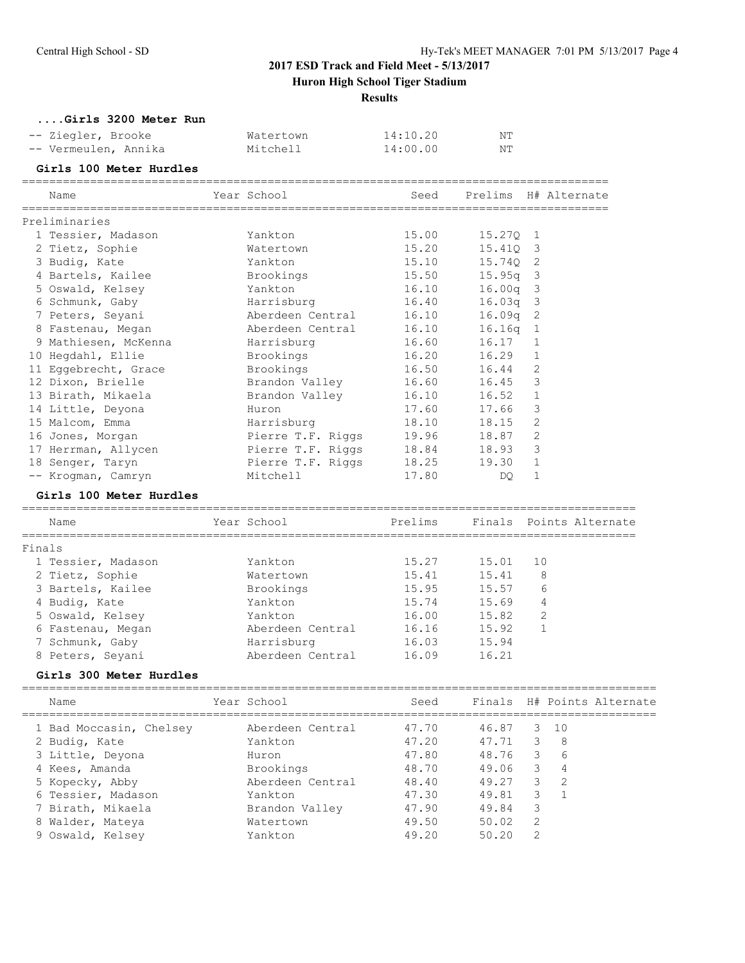## **Huron High School Tiger Stadium**

**Results**

**....Girls 3200 Meter Run**

| -- Ziegler, Brooke   | Watertown | 14:10.20 | NT |
|----------------------|-----------|----------|----|
| -- Vermeulen, Annika | Mitchell  | 14:00.00 | NT |

## **Girls 100 Meter Hurdles**

| Name                                | Year School            | Seed  |            |                | Prelims H# Alternate |
|-------------------------------------|------------------------|-------|------------|----------------|----------------------|
| Preliminaries                       |                        |       |            |                |                      |
| 1 Tessier, Madason                  | Yankton                | 15.00 | 15.270 1   |                |                      |
| 2 Tietz, Sophie                     | Watertown              | 15.20 | 15.410 3   |                |                      |
| 3 Budiq, Kate                       | Yankton                | 15.10 | 15.740 2   |                |                      |
| 4 Bartels, Kailee                   | Brookings              | 15.50 | $15.95q$ 3 |                |                      |
| 5 Oswald, Kelsey                    | Yankton                | 16.10 | $16.00q$ 3 |                |                      |
| 6 Schmunk, Gaby                     | Harrisburg 16.40       |       | $16.03q$ 3 |                |                      |
| 7 Peters, Seyani                    | Aberdeen Central       | 16.10 | $16.09q$ 2 |                |                      |
| 8 Fastenau, Megan                   | Aberdeen Central 16.10 |       | $16.16q$ 1 |                |                      |
| 9 Mathiesen, McKenna and Harrisburg |                        | 16.60 | 16.17      | $\mathbf{1}$   |                      |
| 10 Hegdahl, Ellie                   | Brookings              | 16.20 | 16.29      | $\mathbf{1}$   |                      |
| 11 Eqgebrecht, Grace                | Brookings              | 16.50 | 16.44      | $\overline{2}$ |                      |
| 12 Dixon, Brielle                   | Brandon Valley         | 16.60 | 16.45      | 3              |                      |
| 13 Birath, Mikaela                  | Brandon Valley         | 16.10 | 16.52      | $\mathbf{1}$   |                      |
| 14 Little, Deyona                   | Huron                  | 17.60 | 17.66      | 3              |                      |
| 15 Malcom, Emma                     | Harrisburg             | 18.10 | 18.15      | $\mathfrak{D}$ |                      |
| 16 Jones, Morgan                    | Pierre T.F. Riggs      | 19.96 | 18.87      | $\overline{c}$ |                      |
| 17 Herrman, Allycen                 | Pierre T.F. Riggs      | 18.84 | 18.93      | 3              |                      |
| 18 Senger, Taryn                    | Pierre T.F. Riggs      | 18.25 | 19.30      | 1              |                      |
| -- Krogman, Camryn                  | Mitchell               | 17.80 | DQ.        | $\mathbf{1}$   |                      |

#### **Girls 100 Meter Hurdles**

| Name               | Year School      | Prelims |       | Finals Points Alternate |
|--------------------|------------------|---------|-------|-------------------------|
| Finals             |                  |         |       |                         |
| 1 Tessier, Madason | Yankton          | 15.27   | 15.01 | -10                     |
| 2 Tietz, Sophie    | Watertown        | 15.41   | 15.41 | 8                       |
| 3 Bartels, Kailee  | Brookings        | 15.95   | 15.57 | 6                       |
| 4 Budiq, Kate      | Yankton          | 15.74   | 15.69 | 4                       |
| 5 Oswald, Kelsey   | Yankton          | 16.00   | 15.82 | 2                       |
| 6 Fastenau, Megan  | Aberdeen Central | 16.16   | 15.92 |                         |
| 7 Schmunk, Gaby    | Harrisburg       | 16.03   | 15.94 |                         |
| 8 Peters, Seyani   | Aberdeen Central | 16.09   | 16.21 |                         |
|                    |                  |         |       |                         |

## **Girls 300 Meter Hurdles**

| Name | Year School | Seed |  | Finals H# Points Alternate |
|------|-------------|------|--|----------------------------|
|      |             |      |  |                            |

| 1 Bad Moccasin, Chelsey | Aberdeen Central | 47.70 | 46.87 |     | 3 10           |
|-------------------------|------------------|-------|-------|-----|----------------|
|                         |                  | 47.20 | 47.71 |     |                |
| 2 Budiq, Kate           | Yankton          |       |       | 3   | - 8            |
| 3 Little, Deyona        | Huron            | 47.80 | 48.76 | 3   | - 6            |
| 4 Kees, Amanda          | Brookings        | 48.70 | 49.06 | 3   | $\overline{4}$ |
| 5 Kopecky, Abby         | Aberdeen Central | 48.40 | 49.27 | 3   | $\overline{2}$ |
| 6 Tessier, Madason      | Yankton          | 47.30 | 49.81 | 3   |                |
| 7 Birath, Mikaela       | Brandon Valley   | 47.90 | 49.84 | 3   |                |
| 8 Walder, Mateya        | Watertown        | 49.50 | 50.02 | - 2 |                |
| 9 Oswald, Kelsey        | Yankton          | 49.20 | 50.20 |     |                |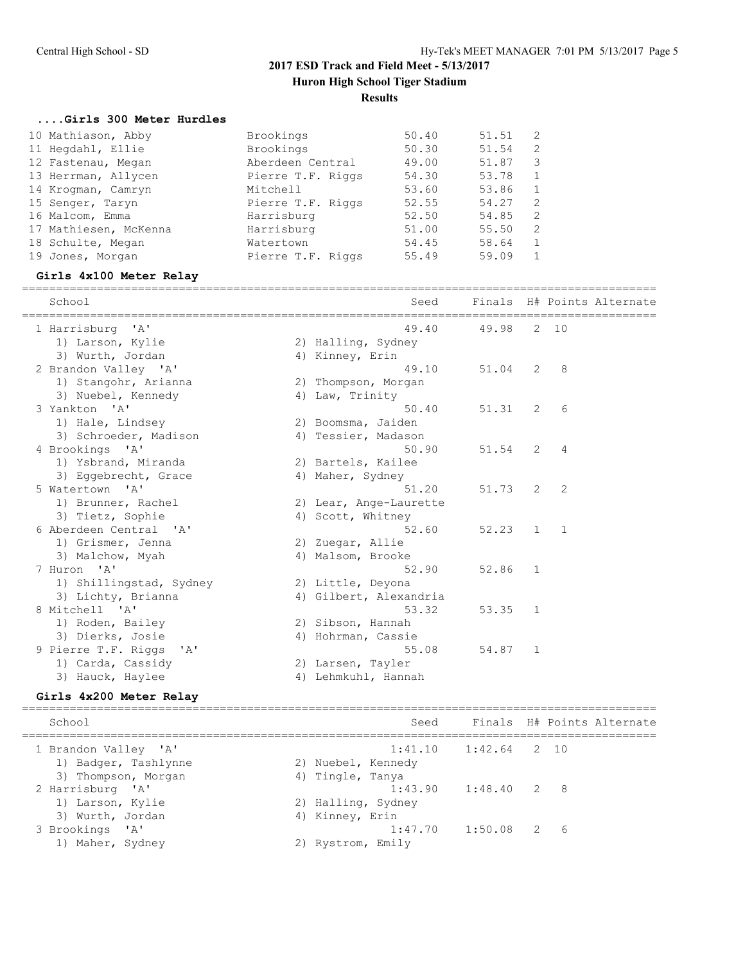## **Results**

#### **....Girls 300 Meter Hurdles**

| 10 Mathiason, Abby    | Brookings         | 50.40 | 51.51 |               |
|-----------------------|-------------------|-------|-------|---------------|
| 11 Hegdahl, Ellie     | Brookings         | 50.30 | 51.54 | $\mathcal{L}$ |
| 12 Fastenau, Megan    | Aberdeen Central  | 49.00 | 51.87 | 3             |
| 13 Herrman, Allycen   | Pierre T.F. Riggs | 54.30 | 53.78 |               |
| 14 Krogman, Camryn    | Mitchell          | 53.60 | 53.86 |               |
| 15 Senger, Taryn      | Pierre T.F. Riggs | 52.55 | 54.27 | 2             |
| 16 Malcom, Emma       | Harrisburg        | 52.50 | 54.85 | 2             |
| 17 Mathiesen, McKenna | Harrisburg        | 51.00 | 55.50 | 2             |
| 18 Schulte, Megan     | Watertown         | 54.45 | 58.64 |               |
| 19 Jones, Morgan      | Pierre T.F. Riggs | 55.49 | 59.09 |               |

## **Girls 4x100 Meter Relay**

|  | School                              | Seed                   |           |                |                | Finals H# Points Alternate |
|--|-------------------------------------|------------------------|-----------|----------------|----------------|----------------------------|
|  | 1 Harrisburg 'A'                    | 49.40                  | 49.98     |                | 2 10           |                            |
|  | 1) Larson, Kylie                    | 2) Halling, Sydney     |           |                |                |                            |
|  | 3) Wurth, Jordan                    | 4) Kinney, Erin        |           |                |                |                            |
|  | 2 Brandon Valley 'A'                | 49.10                  | 51.04     | 2              | -8             |                            |
|  | 1) Stangohr, Arianna                | 2) Thompson, Morgan    |           |                |                |                            |
|  | 3) Nuebel, Kennedy                  | 4) Law, Trinity        |           |                |                |                            |
|  | 3 Yankton 'A'                       | 50.40                  | 51.31     | 2              | 6              |                            |
|  | 1) Hale, Lindsey                    | 2) Boomsma, Jaiden     |           |                |                |                            |
|  | 3) Schroeder, Madison               | 4) Tessier, Madason    |           |                |                |                            |
|  | 4 Brookings 'A'                     | 50.90                  | 51.54     | 2              | $\overline{4}$ |                            |
|  | 1) Ysbrand, Miranda                 | 2) Bartels, Kailee     |           |                |                |                            |
|  | 3) Eqqebrecht, Grace                | 4) Maher, Sydney       |           |                |                |                            |
|  | 5 Watertown 'A'                     | 51.20                  | 51.73     | 2              | 2              |                            |
|  | 1) Brunner, Rachel                  | 2) Lear, Ange-Laurette |           |                |                |                            |
|  | 3) Tietz, Sophie                    | 4) Scott, Whitney      |           |                |                |                            |
|  | 6 Aberdeen Central 'A'              | 52.60                  | $52.23$ 1 |                | $\sim$ 1       |                            |
|  | 1) Grismer, Jenna                   | 2) Zuegar, Allie       |           |                |                |                            |
|  | 3) Malchow, Myah                    | 4) Malsom, Brooke      |           |                |                |                            |
|  | 7 Huron 'A'                         | 52.90                  | 52.86     | $\overline{1}$ |                |                            |
|  | 1) Shillingstad, Sydney             | 2) Little, Deyona      |           |                |                |                            |
|  | 3) Lichty, Brianna                  | 4) Gilbert, Alexandria |           |                |                |                            |
|  | 8 Mitchell 'A'                      | 53.32                  | 53.35     | $\sqrt{1}$     |                |                            |
|  | 1) Roden, Bailey                    | 2) Sibson, Hannah      |           |                |                |                            |
|  | 3) Dierks, Josie                    | 4) Hohrman, Cassie     |           |                |                |                            |
|  | 9 Pierre T.F. Riggs<br>$\mathsf{A}$ | 55.08                  | 54.87     | -1             |                |                            |
|  | 1) Carda, Cassidy                   | 2) Larsen, Tayler      |           |                |                |                            |
|  | 3) Hauck, Haylee                    | 4) Lehmkuhl, Hannah    |           |                |                |                            |
|  |                                     |                        |           |                |                |                            |

## **Girls 4x200 Meter Relay**

| School               |                    | Seed                     |  | Finals H# Points Alternate |
|----------------------|--------------------|--------------------------|--|----------------------------|
| 1 Brandon Valley 'A' |                    | $1:41.10$ $1:42.64$ 2 10 |  |                            |
| 1) Badger, Tashlynne | 2) Nuebel, Kennedy |                          |  |                            |
| 3) Thompson, Morgan  | 4) Tingle, Tanya   |                          |  |                            |
| 2 Harrisburg 'A'     |                    | $1:43.90$ $1:48.40$ 2 8  |  |                            |
| 1) Larson, Kylie     | 2) Halling, Sydney |                          |  |                            |
| 3) Wurth, Jordan     | 4) Kinney, Erin    |                          |  |                            |
| 3 Brookings 'A'      |                    | $1:47.70$ $1:50.08$ 2 6  |  |                            |
| 1) Maher, Sydney     | 2) Rystrom, Emily  |                          |  |                            |
|                      |                    |                          |  |                            |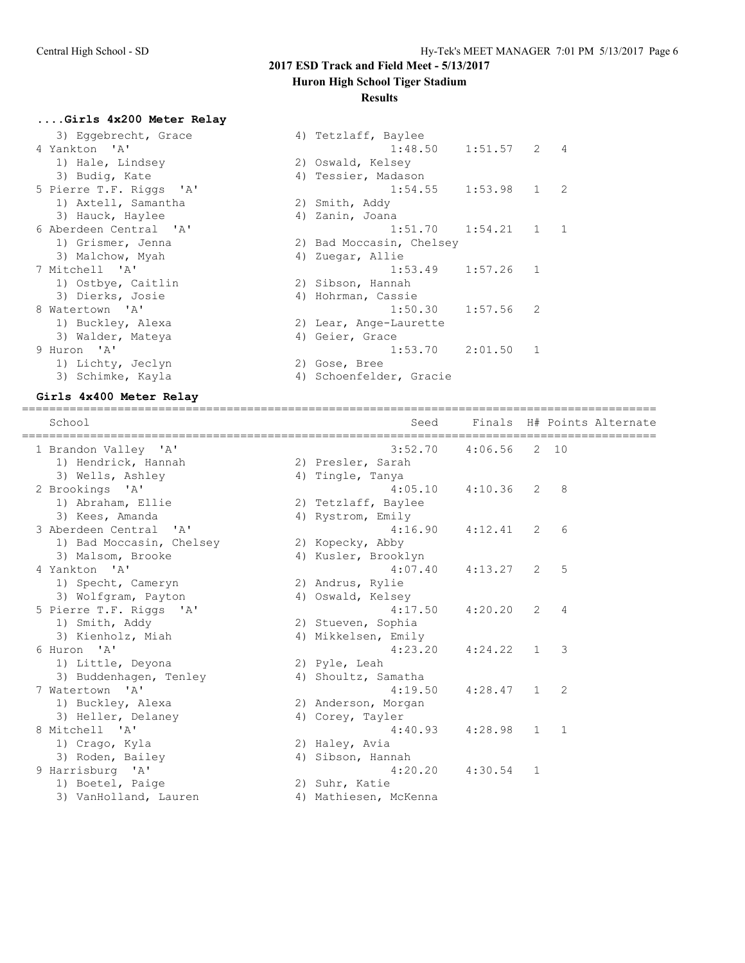## **Huron High School Tiger Stadium**

#### **Results**

# **....Girls 4x200 Meter Relay**

| 3) Eqqebrecht, Grace<br>4 Yankton 'A' | 4) Tetzlaff, Baylee<br>$1:48.50$ $1:51.57$ 2 4 |
|---------------------------------------|------------------------------------------------|
| 1) Hale, Lindsey                      | 2) Oswald, Kelsey                              |
| 3) Budiq, Kate                        | 4) Tessier, Madason                            |
|                                       |                                                |
| 5 Pierre T.F. Riggs 'A'               | $\mathbf{1}$<br>1:54.55<br>1:53.98<br>2        |
| 1) Axtell, Samantha                   | 2) Smith, Addy                                 |
| 3) Hauck, Haylee                      | 4) Zanin, Joana                                |
| 6 Aberdeen Central 'A'                | $1:54.21$ 1<br>1<br>1:51.70                    |
| 1) Grismer, Jenna                     | 2) Bad Moccasin, Chelsey                       |
| 3) Malchow, Myah                      | 4) Zuegar, Allie                               |
| 7 Mitchell 'A'                        | 1:53.49<br>1:57.26<br>$\mathbf{1}$             |
| 1) Ostbye, Caitlin                    | 2) Sibson, Hannah                              |
| 3) Dierks, Josie                      | 4) Hohrman, Cassie                             |
| 8 Watertown 'A'                       | 1:50.30<br>1:57.56<br>2                        |
| 1) Buckley, Alexa                     | 2) Lear, Ange-Laurette                         |
| 3) Walder, Mateya                     | 4) Geier, Grace                                |
| 9 Huron 'A'                           | 1:53.70<br>2:01.50<br>1                        |
| 1) Lichty, Jeclyn                     | 2) Gose, Bree                                  |
| 3) Schimke, Kayla                     | 4) Schoenfelder, Gracie                        |

#### **Girls 4x400 Meter Relay**

| School                   | Seed                  |                          |    | ==================== | Finals H# Points Alternate |
|--------------------------|-----------------------|--------------------------|----|----------------------|----------------------------|
| 1 Brandon Valley 'A'     |                       | $3:52.70$ $4:06.56$ 2 10 |    |                      |                            |
| 1) Hendrick, Hannah      | 2) Presler, Sarah     |                          |    |                      |                            |
| 3) Wells, Ashley         | 4) Tingle, Tanya      |                          |    |                      |                            |
| 2 Brookings 'A'          | 4:05.10               | $4:10.36$ 2 8            |    |                      |                            |
| 1) Abraham, Ellie        | 2) Tetzlaff, Baylee   |                          |    |                      |                            |
| 3) Kees, Amanda          | 4) Rystrom, Emily     |                          |    |                      |                            |
| 3 Aberdeen Central 'A'   | 4:16.90               | 4:12.41                  | 2  | 6                    |                            |
| 1) Bad Moccasin, Chelsey | 2) Kopecky, Abby      |                          |    |                      |                            |
| 3) Malsom, Brooke        | 4) Kusler, Brooklyn   |                          |    |                      |                            |
| 4 Yankton 'A'            | 4:07.40               | 4:13.27                  | 2  | 5                    |                            |
| 1) Specht, Cameryn       | 2) Andrus, Rylie      |                          |    |                      |                            |
| 3) Wolfgram, Payton      | 4) Oswald, Kelsey     |                          |    |                      |                            |
| 5 Pierre T.F. Riggs 'A'  | 4:17.50               | 4:20.20 2                |    | $\overline{4}$       |                            |
| 1) Smith, Addy           | 2) Stueven, Sophia    |                          |    |                      |                            |
| 3) Kienholz, Miah        | 4) Mikkelsen, Emily   |                          |    |                      |                            |
| 6 Huron 'A'              | 4:23.20               | 4:24.22 1                |    | 3                    |                            |
| 1) Little, Deyona        | 2) Pyle, Leah         |                          |    |                      |                            |
| 3) Buddenhagen, Tenley   | 4) Shoultz, Samatha   |                          |    |                      |                            |
| 7 Watertown 'A'          | 4:19.50               | $4:28.47$ 1              |    | -2                   |                            |
| 1) Buckley, Alexa        | 2) Anderson, Morgan   |                          |    |                      |                            |
| 3) Heller, Delaney       | 4) Corey, Tayler      |                          |    |                      |                            |
| 8 Mitchell 'A'           | 4:40.93               | $4:28.98$ 1              |    | $\mathbf{1}$         |                            |
| 1) Crago, Kyla           | 2) Haley, Avia        |                          |    |                      |                            |
| 3) Roden, Bailey         | 4) Sibson, Hannah     |                          |    |                      |                            |
| 9 Harrisburg 'A'         | 4:20.20               | 4:30.54                  | -1 |                      |                            |
| 1) Boetel, Paige         | 2) Suhr, Katie        |                          |    |                      |                            |
| 3) VanHolland, Lauren    | 4) Mathiesen, McKenna |                          |    |                      |                            |

=============================================================================================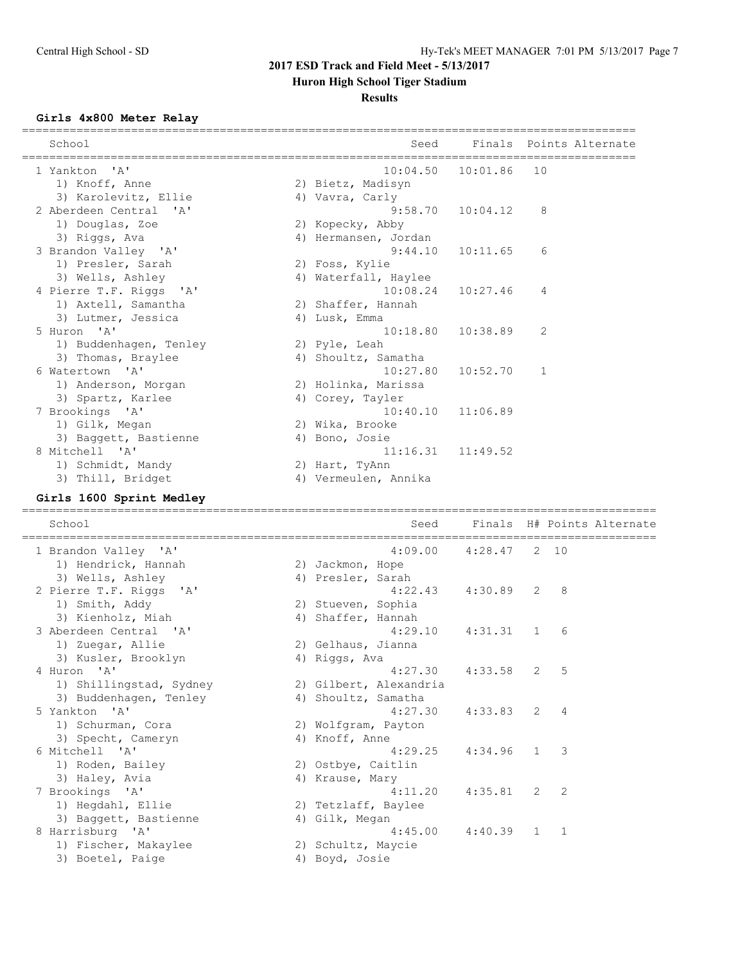**Huron High School Tiger Stadium**

#### **Results**

## **Girls 4x800 Meter Relay**

| Seed     |                                                                                                                                                                                                                                                                                                                                     | Finals Points Alternate                                                                                                   |
|----------|-------------------------------------------------------------------------------------------------------------------------------------------------------------------------------------------------------------------------------------------------------------------------------------------------------------------------------------|---------------------------------------------------------------------------------------------------------------------------|
|          |                                                                                                                                                                                                                                                                                                                                     |                                                                                                                           |
|          |                                                                                                                                                                                                                                                                                                                                     | 10                                                                                                                        |
|          |                                                                                                                                                                                                                                                                                                                                     |                                                                                                                           |
|          |                                                                                                                                                                                                                                                                                                                                     |                                                                                                                           |
| 9:58.70  | 10:04.12                                                                                                                                                                                                                                                                                                                            | 8                                                                                                                         |
|          |                                                                                                                                                                                                                                                                                                                                     |                                                                                                                           |
|          |                                                                                                                                                                                                                                                                                                                                     |                                                                                                                           |
| 9:44.10  | 10:11.65                                                                                                                                                                                                                                                                                                                            | 6                                                                                                                         |
|          |                                                                                                                                                                                                                                                                                                                                     |                                                                                                                           |
|          |                                                                                                                                                                                                                                                                                                                                     |                                                                                                                           |
|          |                                                                                                                                                                                                                                                                                                                                     | 4                                                                                                                         |
|          |                                                                                                                                                                                                                                                                                                                                     |                                                                                                                           |
|          |                                                                                                                                                                                                                                                                                                                                     |                                                                                                                           |
|          |                                                                                                                                                                                                                                                                                                                                     | 2                                                                                                                         |
|          |                                                                                                                                                                                                                                                                                                                                     |                                                                                                                           |
|          |                                                                                                                                                                                                                                                                                                                                     |                                                                                                                           |
| 10:27.80 | 10:52.70                                                                                                                                                                                                                                                                                                                            | 1                                                                                                                         |
|          |                                                                                                                                                                                                                                                                                                                                     |                                                                                                                           |
|          |                                                                                                                                                                                                                                                                                                                                     |                                                                                                                           |
|          |                                                                                                                                                                                                                                                                                                                                     |                                                                                                                           |
|          |                                                                                                                                                                                                                                                                                                                                     |                                                                                                                           |
|          |                                                                                                                                                                                                                                                                                                                                     |                                                                                                                           |
|          |                                                                                                                                                                                                                                                                                                                                     |                                                                                                                           |
|          |                                                                                                                                                                                                                                                                                                                                     |                                                                                                                           |
|          |                                                                                                                                                                                                                                                                                                                                     |                                                                                                                           |
|          | 2) Bietz, Madisyn<br>4) Vavra, Carly<br>2) Kopecky, Abby<br>4) Hermansen, Jordan<br>2) Foss, Kylie<br>4) Waterfall, Haylee<br>2) Shaffer, Hannah<br>4) Lusk, Emma<br>2) Pyle, Leah<br>4) Shoultz, Samatha<br>2) Holinka, Marissa<br>4) Corey, Tayler<br>2) Wika, Brooke<br>4) Bono, Josie<br>2) Hart, TyAnn<br>4) Vermeulen, Annika | $10:04.50$ $10:01.86$<br>$10:08.24$ $10:27.46$<br>$10:18.80$ $10:38.89$<br>$10:40.10$ $11:06.89$<br>$11:16.31$ $11:49.52$ |

## **Girls 1600 Sprint Medley**

| School                  | Seed                   |                          |               | Finals H# Points Alternate |
|-------------------------|------------------------|--------------------------|---------------|----------------------------|
| 1 Brandon Valley 'A'    |                        | $4:09.00$ $4:28.47$ 2 10 |               |                            |
| 1) Hendrick, Hannah     | 2) Jackmon, Hope       |                          |               |                            |
| 3) Wells, Ashley        | 4) Presler, Sarah      |                          |               |                            |
| 2 Pierre T.F. Riggs 'A' | 4:22.43                | $4:30.89$ 2 8            |               |                            |
| 1) Smith, Addy          | 2) Stueven, Sophia     |                          |               |                            |
| 3) Kienholz, Miah       | 4) Shaffer, Hannah     |                          |               |                            |
| 3 Aberdeen Central 'A'  | 4:29.10                | $4:31.31$ 1              | 6             |                            |
| 1) Zuegar, Allie        | 2) Gelhaus, Jianna     |                          |               |                            |
| 3) Kusler, Brooklyn     | 4) Riggs, Ava          |                          |               |                            |
| 4 Huron 'A'             | 4:27.30                | 4:33.58 2                | -5            |                            |
| 1) Shillingstad, Sydney | 2) Gilbert, Alexandria |                          |               |                            |
| 3) Buddenhagen, Tenley  | 4) Shoultz, Samatha    |                          |               |                            |
| 5 Yankton 'A'           | 4:27.30                | $4:33.83$ 2 4            |               |                            |
| 1) Schurman, Cora       | 2) Wolfgram, Payton    |                          |               |                            |
| 3) Specht, Cameryn      | 4) Knoff, Anne         |                          |               |                            |
| 6 Mitchell 'A'          | 4:29.25                | $4:34.96$ 1              | $\mathcal{B}$ |                            |
| 1) Roden, Bailey        | 2) Ostbye, Caitlin     |                          |               |                            |
| 3) Haley, Avia          | 4) Krause, Mary        |                          |               |                            |
| 7 Brookings 'A'         | 4:11.20                | $4:35.81$ 2 2            |               |                            |
| 1) Hegdahl, Ellie       | 2) Tetzlaff, Baylee    |                          |               |                            |
| 3) Baggett, Bastienne   | 4) Gilk, Megan         |                          |               |                            |
| 8 Harrisburg 'A'        | 4:45.00                | $4:40.39$ 1              | $\mathbf{1}$  |                            |
| 1) Fischer, Makaylee    | 2) Schultz, Maycie     |                          |               |                            |
| 3) Boetel, Paige        | 4) Boyd, Josie         |                          |               |                            |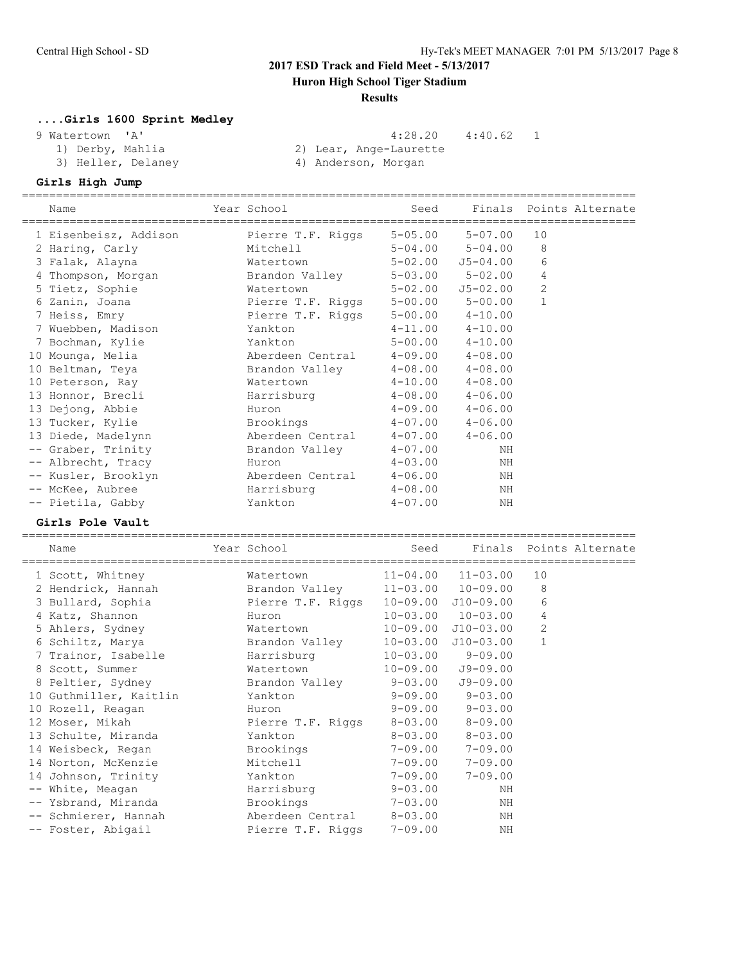## **Huron High School Tiger Stadium**

#### **Results**

## **....Girls 1600 Sprint Medley**

 9 Watertown 'A' 4:28.20 4:40.62 1 1) Derby, Mahlia 2) Lear, Ange-Laurette

3) Heller, Delaney (4) Anderson, Morgan

## **Girls High Jump**

|       | Name                                  | ======== | Year School                   | Seed                         | Finals                     |                | Points Alternate |
|-------|---------------------------------------|----------|-------------------------------|------------------------------|----------------------------|----------------|------------------|
|       | 1 Eisenbeisz, Addison                 |          | Pierre T.F. Riggs             | $5 - 05.00$                  | $5 - 07.00$                | 10             |                  |
|       | 2 Haring, Carly                       |          | Mitchell                      | $5 - 04.00$                  | $5 - 04.00$                | 8              |                  |
|       | 3 Falak, Alayna                       |          | Watertown                     | $5 - 02.00$                  | $J5 - 04.00$               | 6              |                  |
|       | 4 Thompson, Morgan                    |          | Brandon Valley                | $5 - 03.00$                  | $5 - 02.00$                | 4              |                  |
|       | 5 Tietz, Sophie                       |          | Watertown                     | $5 - 02.00$                  | $J5 - 02.00$               | $\mathbf{2}$   |                  |
|       | 6 Zanin, Joana                        |          | Pierre T.F. Riggs             | $5 - 00.00$                  | $5 - 00.00$                | $\mathbf{1}$   |                  |
|       | 7 Heiss, Emry                         |          | Pierre T.F. Riggs             | $5 - 00.00$                  | $4 - 10.00$                |                |                  |
|       | 7 Wuebben, Madison                    |          | Yankton                       | $4 - 11.00$                  | $4 - 10.00$                |                |                  |
|       | 7 Bochman, Kylie                      |          | Yankton                       | $5 - 00.00$                  | $4 - 10.00$                |                |                  |
|       | 10 Mounga, Melia                      |          | Aberdeen Central              | $4 - 09.00$                  | $4 - 08.00$                |                |                  |
|       | 10 Beltman, Teya                      |          | Brandon Valley                | $4 - 08.00$                  | $4 - 08.00$                |                |                  |
|       | 10 Peterson, Ray                      |          | Watertown                     | $4 - 10.00$                  | $4 - 08.00$                |                |                  |
|       | 13 Honnor, Brecli                     |          | Harrisburg                    | $4 - 08.00$                  | $4 - 06.00$                |                |                  |
|       | 13 Dejong, Abbie                      |          | Huron                         | $4 - 09.00$                  | $4 - 06.00$                |                |                  |
|       | 13 Tucker, Kylie                      |          | Brookings                     | $4 - 07.00$                  | $4 - 06.00$                |                |                  |
|       | 13 Diede, Madelynn                    |          | Aberdeen Central              | $4 - 07.00$                  | $4 - 06.00$                |                |                  |
|       | -- Graber, Trinity                    |          | Brandon Valley                | $4 - 07.00$                  | ΝH                         |                |                  |
|       | -- Albrecht, Tracy                    |          | Huron                         | $4 - 03.00$                  | ΝH                         |                |                  |
|       | -- Kusler, Brooklyn                   |          | Aberdeen Central              | $4 - 06.00$                  | ΝH                         |                |                  |
|       | -- McKee, Aubree                      |          | Harrisburg                    | $4 - 08.00$                  | ΝH                         |                |                  |
|       | -- Pietila, Gabby                     |          | Yankton                       | $4 - 07.00$                  | ΝH                         |                |                  |
|       |                                       |          |                               |                              |                            |                |                  |
|       |                                       |          |                               |                              |                            |                |                  |
|       | Girls Pole Vault                      |          |                               |                              |                            |                |                  |
|       | Name                                  |          | Year School                   | Seed                         | Finals                     |                | Points Alternate |
|       |                                       |          | Watertown                     | $11 - 04.00$                 | $11 - 03.00$               | 10             |                  |
|       | 1 Scott, Whitney                      |          |                               |                              |                            | 8              |                  |
|       | 2 Hendrick, Hannah                    |          | Brandon Valley                | $11 - 03.00$                 | $10 - 09.00$               | 6              |                  |
|       | 3 Bullard, Sophia                     |          | Pierre T.F. Riggs<br>Huron    | $10 - 09.00$                 | $J10-09.00$                | $\overline{4}$ |                  |
|       | 4 Katz, Shannon                       |          | Watertown                     | $10 - 03.00$                 | $10 - 03.00$               | $\overline{2}$ |                  |
|       | 5 Ahlers, Sydney                      |          |                               | $10 - 09.00$                 | $J10-03.00$                | $\mathbf{1}$   |                  |
|       | 6 Schiltz, Marya                      |          | Brandon Valley                | $10 - 03.00$<br>$10 - 03.00$ | $J10-03.00$<br>$9 - 09.00$ |                |                  |
|       | 7 Trainor, Isabelle                   |          | Harrisburg<br>Watertown       |                              |                            |                |                  |
|       | 8 Scott, Summer                       |          |                               | $10 - 09.00$<br>$9 - 03.00$  | $J9 - 09.00$               |                |                  |
|       | 8 Peltier, Sydney                     |          | Brandon Valley<br>Yankton     |                              | $J9 - 09.00$               |                |                  |
|       | 10 Guthmiller, Kaitlin                |          |                               | $9 - 09.00$                  | $9 - 03.00$                |                |                  |
|       | 10 Rozell, Reagan                     |          | Huron                         | $9 - 09.00$                  | $9 - 03.00$                |                |                  |
|       | 12 Moser, Mikah                       |          | Pierre T.F. Riggs             | $8 - 03.00$                  | $8 - 09.00$                |                |                  |
|       | 13 Schulte, Miranda                   |          | Yankton                       | $8 - 03.00$                  | $8 - 03.00$                |                |                  |
|       | 14 Weisbeck, Regan                    |          | Brookings                     | $7 - 09.00$                  | $7 - 09.00$                |                |                  |
|       | 14 Norton, McKenzie                   |          | Mitchell                      | $7 - 09.00$                  | $7 - 09.00$                |                |                  |
|       | 14 Johnson, Trinity                   |          | Yankton                       | $7 - 09.00$                  | $7 - 09.00$                |                |                  |
| $--$  | White, Meagan                         |          | Harrisburg                    | $9 - 03.00$                  | ΝH                         |                |                  |
| $- -$ | Ysbrand, Miranda<br>Schmierer, Hannah |          | Brookings<br>Aberdeen Central | $7 - 03.00$<br>$8 - 03.00$   | ΝH<br>ΝH                   |                |                  |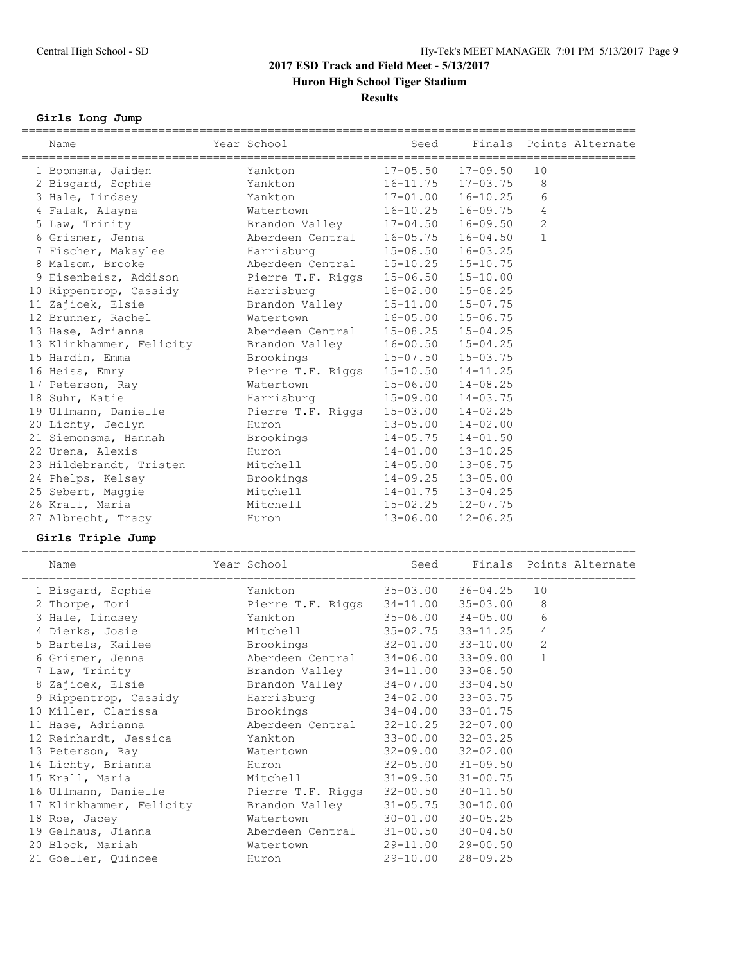## **Results**

## **Girls Long Jump**

| Name                     | Year School<br>______________________ | Seed         | Finals<br>============================= |              | Points Alternate |
|--------------------------|---------------------------------------|--------------|-----------------------------------------|--------------|------------------|
| 1 Boomsma, Jaiden        | Yankton                               | $17 - 05.50$ | $17 - 09.50$                            | 10           |                  |
| 2 Bisgard, Sophie        | Yankton                               | $16 - 11.75$ | $17 - 03.75$                            | 8            |                  |
| 3 Hale, Lindsey          | Yankton                               | $17 - 01.00$ | $16 - 10.25$                            | 6            |                  |
| 4 Falak, Alayna          | Watertown                             | $16 - 10.25$ | $16 - 09.75$                            | 4            |                  |
| 5 Law, Trinity           | Brandon Valley                        | $17 - 04.50$ | $16 - 09.50$                            | 2            |                  |
| 6 Grismer, Jenna         | Aberdeen Central                      | $16 - 05.75$ | $16 - 04.50$                            | $\mathbf{1}$ |                  |
| 7 Fischer, Makaylee      | Harrisburg                            | $15 - 08.50$ | $16 - 03.25$                            |              |                  |
| 8 Malsom, Brooke         | Aberdeen Central                      | $15 - 10.25$ | $15 - 10.75$                            |              |                  |
| 9 Eisenbeisz, Addison    | Pierre T.F. Riggs                     | $15 - 06.50$ | $15 - 10.00$                            |              |                  |
| 10 Rippentrop, Cassidy   | Harrisburg                            | $16 - 02.00$ | $15 - 08.25$                            |              |                  |
| 11 Zajicek, Elsie        | Brandon Valley                        | $15 - 11.00$ | $15 - 07.75$                            |              |                  |
| 12 Brunner, Rachel       | Watertown                             | $16 - 05.00$ | $15 - 06.75$                            |              |                  |
| 13 Hase, Adrianna        | Aberdeen Central                      | $15 - 08.25$ | $15 - 04.25$                            |              |                  |
| 13 Klinkhammer, Felicity | Brandon Valley                        | $16 - 00.50$ | $15 - 04.25$                            |              |                  |
| 15 Hardin, Emma          | Brookings                             | $15 - 07.50$ | $15 - 03.75$                            |              |                  |
| 16 Heiss, Emry           | Pierre T.F. Riggs                     | $15 - 10.50$ | $14 - 11.25$                            |              |                  |
| 17 Peterson, Ray         | Watertown                             | $15 - 06.00$ | $14 - 08.25$                            |              |                  |
| 18 Suhr, Katie           | Harrisburg                            | $15 - 09.00$ | $14 - 03.75$                            |              |                  |
| 19 Ullmann, Danielle     | Pierre T.F. Riggs                     | $15 - 03.00$ | $14 - 02.25$                            |              |                  |
| 20 Lichty, Jeclyn        | Huron                                 | $13 - 05.00$ | $14 - 02.00$                            |              |                  |
| 21 Siemonsma, Hannah     | Brookings                             | $14 - 05.75$ | $14 - 01.50$                            |              |                  |
| 22 Urena, Alexis         | Huron                                 | $14 - 01.00$ | $13 - 10.25$                            |              |                  |
| 23 Hildebrandt, Tristen  | Mitchell                              | $14 - 05.00$ | $13 - 08.75$                            |              |                  |
| 24 Phelps, Kelsey        | Brookings                             | $14 - 09.25$ | $13 - 05.00$                            |              |                  |
| 25 Sebert, Maggie        | Mitchell                              | $14 - 01.75$ | $13 - 04.25$                            |              |                  |
| 26 Krall, Maria          | Mitchell                              | $15 - 02.25$ | $12 - 07.75$                            |              |                  |
| 27 Albrecht, Tracy       | Huron                                 | $13 - 06.00$ | $12 - 06.25$                            |              |                  |
| Girls Triple Jump        |                                       |              |                                         |              |                  |
| Name                     | Year School                           | Seed         | Finals                                  |              | Points Alternate |
| 1 Bisgard, Sophie        | Yankton                               | $35 - 03.00$ | $36 - 04.25$                            | 10           |                  |
| 2 Thorpe, Tori           | Pierre T.F. Riggs                     | $34 - 11.00$ | $35 - 03.00$                            | 8            |                  |
| 3 Hale, Lindsey          | Yankton                               | $35 - 06.00$ | 34-05.00                                | 6            |                  |
| 4 Dierks, Josie          | Mitchell                              | $35 - 02.75$ | $33 - 11.25$                            | 4            |                  |
| 5 Bartels, Kailee        | Brookings                             | $32 - 01.00$ | $33 - 10.00$                            | 2            |                  |
| 6 Grismer, Jenna         | Aberdeen Central                      | $34 - 06.00$ | $33 - 09.00$                            | $\mathbf{1}$ |                  |
| 7 Law, Trinity           | Brandon Valley                        | $34 - 11.00$ | $33 - 08.50$                            |              |                  |
| 8 Zajicek, Elsie         | Brandon Valley                        | 34-07.00     | $33 - 04.50$                            |              |                  |
| 9 Rippentrop, Cassidy    | Harrisburg                            | $34 - 02.00$ | $33 - 03.75$                            |              |                  |
| 10 Miller, Clarissa      | Brookings                             | $34 - 04.00$ | 33-01.75                                |              |                  |
| 11 Hase, Adrianna        | Aberdeen Central                      | $32 - 10.25$ | $32 - 07.00$                            |              |                  |
| 12 Reinhardt, Jessica    | Yankton                               | $33 - 00.00$ | $32 - 03.25$                            |              |                  |
| 13 Peterson, Ray         | Watertown                             | $32 - 09.00$ | $32 - 02.00$                            |              |                  |
| 14 Lichty, Brianna       | Huron                                 | $32 - 05.00$ | 31-09.50                                |              |                  |
| 15 Krall, Maria          | Mitchell                              | $31 - 09.50$ | $31 - 00.75$                            |              |                  |
| 16 Ullmann, Danielle     | Pierre T.F. Riggs                     | 32-00.50     | 30-11.50                                |              |                  |
| 17 Klinkhammer, Felicity | Brandon Valley                        | $31 - 05.75$ | $30 - 10.00$                            |              |                  |
| 18 Roe, Jacey            | Watertown                             | $30 - 01.00$ | $30 - 05.25$                            |              |                  |
| 19 Gelhaus, Jianna       | Aberdeen Central                      | $31 - 00.50$ | $30 - 04.50$                            |              |                  |
| 20 Block, Mariah         | Watertown                             | $29 - 11.00$ | $29 - 00.50$                            |              |                  |
| 21 Goeller, Quincee      | Huron                                 | $29 - 10.00$ | $28 - 09.25$                            |              |                  |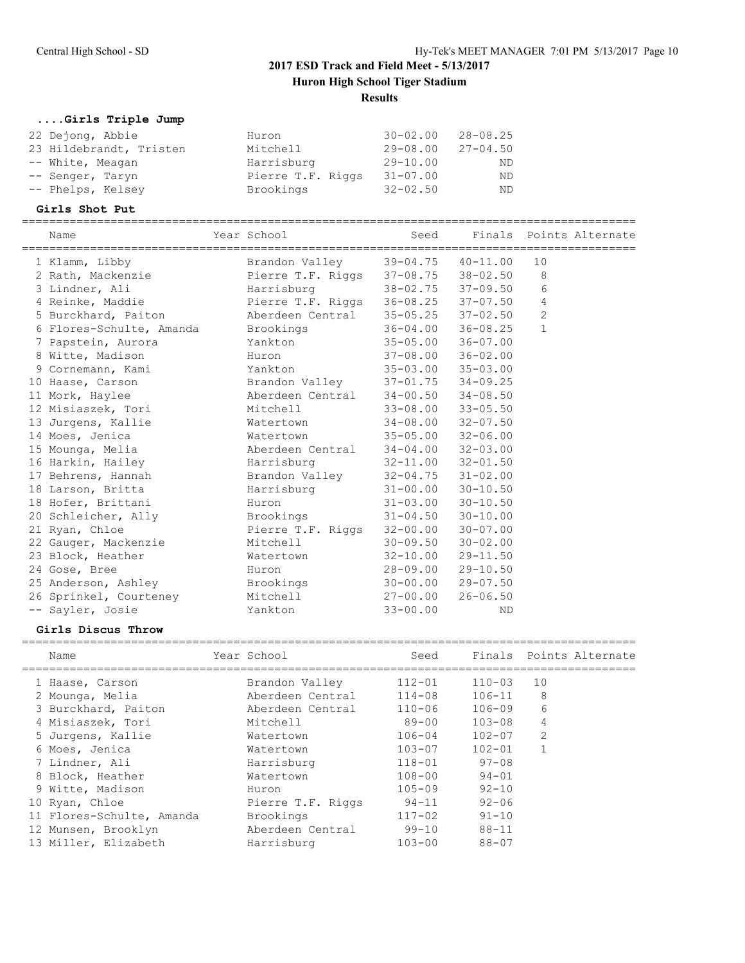## **....Girls Triple Jump**

| 22 Dejong, Abbie        | Huron             | $30 - 02.00$ | 28-08.25     |
|-------------------------|-------------------|--------------|--------------|
| 23 Hildebrandt, Tristen | Mitchell          | $29 - 08.00$ | $27 - 04.50$ |
| -- White, Meagan        | Harrisburg        | $29 - 10.00$ | ND           |
| -- Senger, Taryn        | Pierre T.F. Riggs | $31 - 07.00$ | ND           |
| -- Phelps, Kelsey       | Brookings         | $32 - 02.50$ | ND.          |

#### **Girls Shot Put**

| Name                               | Year School                         |                           | Seed Finals Points Alternate |                |  |
|------------------------------------|-------------------------------------|---------------------------|------------------------------|----------------|--|
| 1 Klamm, Libby                     | Brandon Valley                      |                           | $39 - 04.75$ $40 - 11.00$    | 10             |  |
| 2 Rath, Mackenzie                  | Pierre T.F. Riggs 37-08.75 38-02.50 |                           |                              | 8              |  |
| 3 Lindner, Ali                     | Harrisburg                          |                           | 38-02.75 37-09.50            | 6              |  |
| 4 Reinke, Maddie                   | Pierre T.F. Riggs                   |                           | $36 - 08.25$ $37 - 07.50$    | $\overline{4}$ |  |
| 5 Burckhard, Paiton                | Aberdeen Central                    |                           | $35 - 05.25$ $37 - 02.50$    | $\overline{2}$ |  |
| 6 Flores-Schulte, Amanda Brookings |                                     |                           | $36 - 04.00$ $36 - 08.25$    | $\mathbf{1}$   |  |
| 7 Papstein, Aurora                 | Yankton                             |                           | $35 - 05.00$ $36 - 07.00$    |                |  |
| 8 Witte, Madison                   | Huron                               |                           | $37 - 08.00$ $36 - 02.00$    |                |  |
| 9 Cornemann, Kami                  | Yankton                             |                           | $35 - 03.00$ $35 - 03.00$    |                |  |
| 10 Haase, Carson                   | Brandon Valley                      | $37 - 01.75$ $34 - 09.25$ |                              |                |  |
| 11 Mork, Haylee                    | Aberdeen Central                    | $34 - 00.50$ $34 - 08.50$ |                              |                |  |
| 12 Misiaszek, Tori                 | Mitchell                            | $33 - 08.00$ $33 - 05.50$ |                              |                |  |
| 13 Jurgens, Kallie                 | Watertown                           |                           | $34 - 08.00$ $32 - 07.50$    |                |  |
| 14 Moes, Jenica                    | Watertown                           |                           | $35 - 05.00$ $32 - 06.00$    |                |  |
| 15 Mounga, Melia                   | Aberdeen Central                    | $34 - 04.00$ $32 - 03.00$ |                              |                |  |
| 16 Harkin, Hailey                  | Harrisburg                          | $32 - 11.00$ $32 - 01.50$ |                              |                |  |
| 17 Behrens, Hannah                 | Brandon Valley                      |                           | $32 - 04.75$ $31 - 02.00$    |                |  |
| 18 Larson, Britta                  | Harrisburg                          | $31 - 00.00$ $30 - 10.50$ |                              |                |  |
| 18 Hofer, Brittani                 | Huron                               |                           | $31 - 03.00$ $30 - 10.50$    |                |  |
| 20 Schleicher, Ally                | Brookings                           |                           | $31 - 04.50$ $30 - 10.00$    |                |  |
| 21 Ryan, Chloe                     | Pierre T.F. Riggs                   |                           | $32 - 00.00$ $30 - 07.00$    |                |  |
| 22 Gauger, Mackenzie               | Mitchell                            |                           | $30 - 09.50$ $30 - 02.00$    |                |  |
| 23 Block, Heather                  | Watertown                           |                           | $32 - 10.00$ $29 - 11.50$    |                |  |
| 24 Gose, Bree                      | Huron                               | $28 - 09.00$ $29 - 10.50$ |                              |                |  |
| 25 Anderson, Ashley                | Brookings                           |                           | $30 - 00.00$ 29-07.50        |                |  |
| 26 Sprinkel, Courteney             | Mitchell                            | 27-00.00                  | $26 - 06.50$                 |                |  |
| -- Sayler, Josie                   | Yankton                             | $33 - 00.00$              | <b>ND</b>                    |                |  |

#### **Girls Discus Throw**

| Name                      | Year School       | Seed       |            |                | Finals Points Alternate |
|---------------------------|-------------------|------------|------------|----------------|-------------------------|
| 1 Haase, Carson           | Brandon Valley    | $112 - 01$ | $110 - 03$ | 10             |                         |
| 2 Mounga, Melia           | Aberdeen Central  | $114 - 08$ | 106-11     | 8              |                         |
| 3 Burckhard, Paiton       | Aberdeen Central  | $110 - 06$ | 106-09     | 6              |                         |
| 4 Misiaszek, Tori         | Mitchell          | 89-00      | $103 - 08$ | 4              |                         |
| 5 Jurgens, Kallie         | Watertown         | $106 - 04$ | $102 - 07$ | $\overline{2}$ |                         |
| 6 Moes, Jenica            | Watertown         | 103-07     | $102 - 01$ |                |                         |
| 7 Lindner, Ali            | Harrisburg        | $118 - 01$ | $97 - 08$  |                |                         |
| 8 Block, Heather          | Watertown         | $108 - 00$ | $94 - 01$  |                |                         |
| 9 Witte, Madison          | Huron             | $105 - 09$ | $92 - 10$  |                |                         |
| 10 Ryan, Chloe            | Pierre T.F. Riggs | $94 - 11$  | $92 - 06$  |                |                         |
| 11 Flores-Schulte, Amanda | Brookings         | $117 - 02$ | $91 - 10$  |                |                         |
| 12 Munsen, Brooklyn       | Aberdeen Central  | $99 - 10$  | $88 - 11$  |                |                         |
| 13 Miller, Elizabeth      | Harrisburg        | $103 - 00$ | $88 - 07$  |                |                         |
|                           |                   |            |            |                |                         |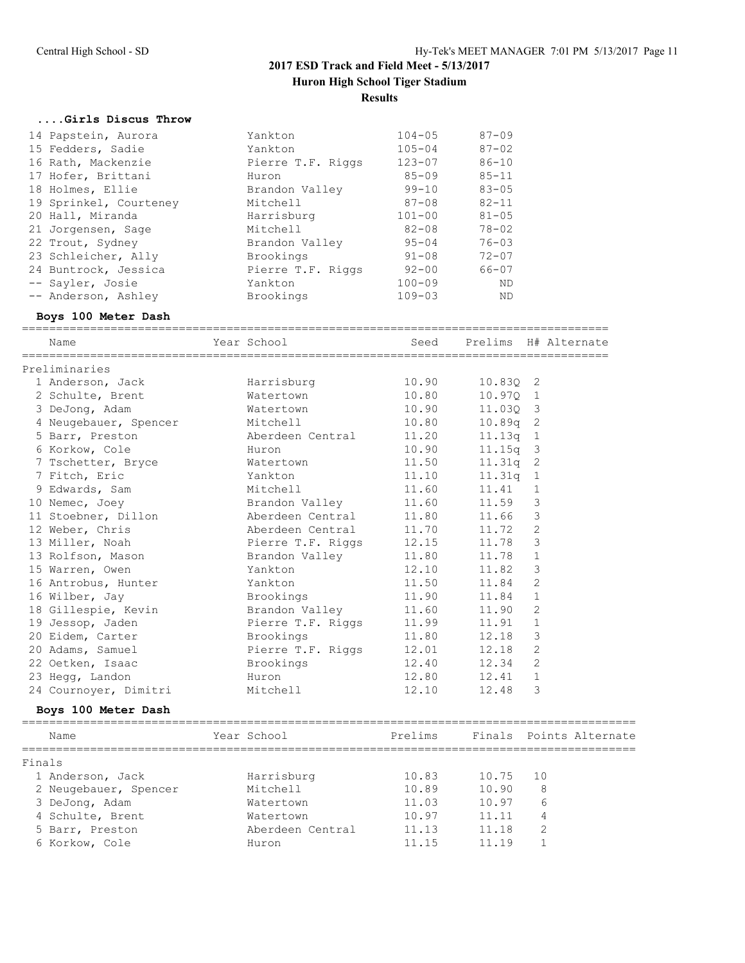#### **....Girls Discus Throw**

| 14 Papstein, Aurora    | Yankton           | $104 - 05$ | $87 - 09$ |
|------------------------|-------------------|------------|-----------|
| 15 Fedders, Sadie      | Yankton           | $105 - 04$ | $87 - 02$ |
| 16 Rath, Mackenzie     | Pierre T.F. Riggs | $123 - 07$ | $86 - 10$ |
| 17 Hofer, Brittani     | Huron             | $85 - 09$  | $85 - 11$ |
| 18 Holmes, Ellie       | Brandon Valley    | $99 - 10$  | $83 - 05$ |
| 19 Sprinkel, Courteney | Mitchell          | $87 - 08$  | $82 - 11$ |
| 20 Hall, Miranda       | Harrisburg        | $101 - 00$ | $81 - 05$ |
| 21 Jorgensen, Sage     | Mitchell          | $82 - 08$  | $78 - 02$ |
| 22 Trout, Sydney       | Brandon Valley    | $95 - 04$  | $76 - 03$ |
| 23 Schleicher, Ally    | Brookings         | $91 - 08$  | $72 - 07$ |
| 24 Buntrock, Jessica   | Pierre T.F. Riggs | $92 - 00$  | 66-07     |
| -- Sayler, Josie       | Yankton           | $100 - 09$ | ND        |
| -- Anderson, Ashley    | Brookings         | $109 - 03$ | <b>ND</b> |

#### **Boys 100 Meter Dash**

|        | Name                                                                                  | Year School – Andrew Monte (1986)               |       |            | Seed Prelims H# Alternate         |
|--------|---------------------------------------------------------------------------------------|-------------------------------------------------|-------|------------|-----------------------------------|
|        | Preliminaries                                                                         |                                                 |       |            |                                   |
|        | 1 Anderson, Jack                                                                      | Harrisburg 10.90                                |       | 10.830 2   |                                   |
|        | 2 Schulte, Brent 6 6 Matertown 10.80                                                  |                                                 |       | 10.970 1   |                                   |
|        | 3 DeJong, Adam                                                                        | Watertown                                       | 10.90 | 11.030 3   |                                   |
|        |                                                                                       |                                                 | 10.80 | $10.89q$ 2 |                                   |
|        | 4 Neugebauer, Spencer Mitchell 10.80<br>5 Barr, Preston 11.20<br>5 Barr, Preston 2010 |                                                 |       | 11.13q 1   |                                   |
|        | 6 Korkow, Cole                                                                        | Huron                                           | 10.90 | $11.15q$ 3 |                                   |
|        | 7 Tschetter, Bryce Matertown                                                          |                                                 | 11.50 | $11.31q$ 2 |                                   |
|        | 7 Fitch, Eric                                                                         | Yankton                                         | 11.10 | $11.31q$ 1 |                                   |
|        | 9 Edwards, Sam Mitchell                                                               |                                                 | 11.60 | $11.41$ 1  |                                   |
|        | 10 Nemec, Joey 6 2011 Brandon Valley 11.60                                            |                                                 |       | $11.59$ 3  |                                   |
|        | 11 Stoebner, Dillon and Aberdeen Central 11.80                                        |                                                 |       | $11.66$ 3  |                                   |
|        | 12 Weber, Chris                                                                       | Aberdeen Central 11.70                          |       | $11.72$ 2  |                                   |
|        | 13 Miller, Noah                                                                       |                                                 |       | 11.78      | $\mathbf{3}$                      |
|        | 13 Rolfson, Mason                                                                     | Pierre T.F. Riggs 12.15<br>Brandon Valley 11.80 |       | 11.78      | $\mathbf{1}$                      |
|        | 15 Warren, Owen                                                                       | Yankton                                         | 12.10 | 11.82      | 3                                 |
|        | 16 Antrobus, Hunter Mankton                                                           |                                                 | 11.50 | 11.84      | 2                                 |
|        | 16 Wilber, Jay                                                                        | Brookings 11.90                                 |       | $11.84$ 1  |                                   |
|        | 18 Gillespie, Kevin         Brandon Valley         11.60                              |                                                 |       | 11.90      | 2                                 |
|        | 19 Jessop, Jaden                                                                      | Pierre T.F. Riggs 11.99                         |       | $11.91$ 1  |                                   |
|        | 20 Eidem, Carter Brookings                                                            |                                                 | 11.80 | $12.18$ 3  |                                   |
|        | 20 Adams, Samuel                                                                      | Pierre T.F. Riggs 12.01                         |       | 12.18 2    |                                   |
|        | 22 Oetken, Isaac                                                                      | Brookings                                       | 12.40 | $12.34$ 2  |                                   |
|        | 23 Hegg, Landon                                                                       | Huron                                           | 12.80 | $12.41$ 1  |                                   |
|        | 24 Cournoyer, Dimitri Mitchell                                                        |                                                 | 12.10 | 12.48      | 3                                 |
|        | Boys 100 Meter Dash                                                                   |                                                 |       |            |                                   |
|        | Name                                                                                  | Year School                                     |       |            | Prelims - Finals Points Alternate |
| Finals |                                                                                       |                                                 |       |            |                                   |
|        | 1 Anderson, Jack                                                                      | Harrisburg                                      | 10.83 | 10.75      | 10                                |
|        | 2 Neugebauer, Spencer                                                                 | Mitchell                                        | 10.89 | 10.90      | 8                                 |

 3 DeJong, Adam Watertown 11.03 10.97 6 4 Schulte, Brent Watertown 10.97 11.11 4 5 Barr, Preston Aberdeen Central 11.13 11.18 2 6 Korkow, Cole Huron 11.15 11.19 1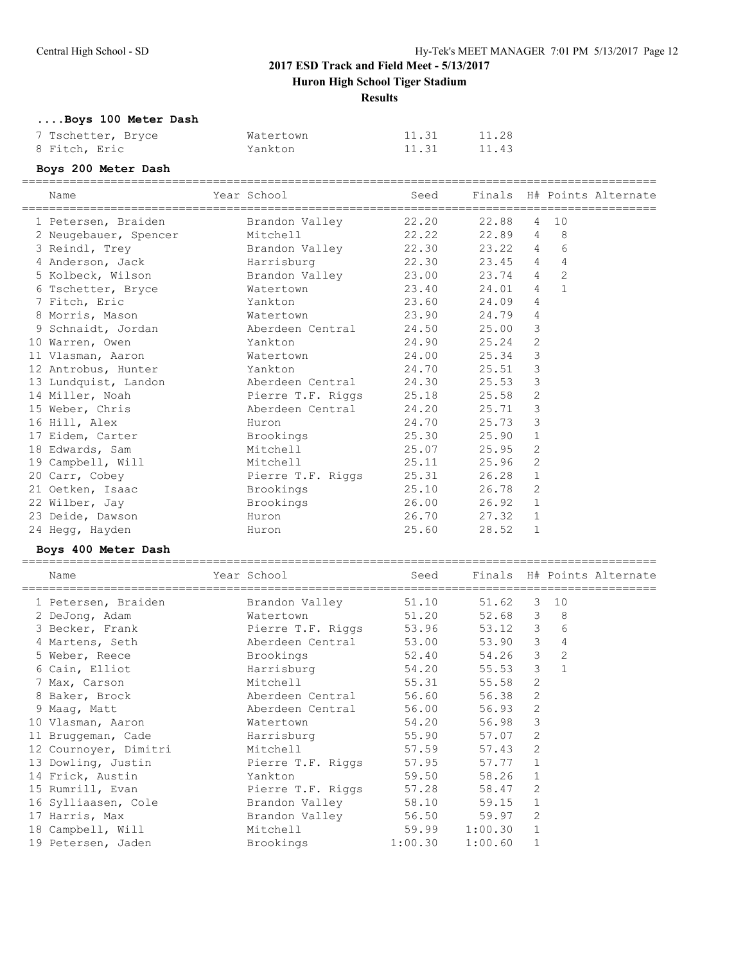**Results**

**....Boys 100 Meter Dash**

| 7 Tschetter, Bryce | Watertown | 11.31 | 11.28 |
|--------------------|-----------|-------|-------|
| 8 Fitch, Eric      | Yankton   | 11.31 | 11.43 |

## **Boys 200 Meter Dash**

| Name                                 | ======<br>Year School      | Seed           |                 |                |                | =========<br>Finals H# Points Alternate |
|--------------------------------------|----------------------------|----------------|-----------------|----------------|----------------|-----------------------------------------|
| 1 Petersen, Braiden                  | Brandon Valley             | 22.20          | 22.88           | 4              | 10             |                                         |
| 2 Neugebauer, Spencer                | Mitchell                   | 22.22          | 22.89           | 4              | 8              |                                         |
| 3 Reindl, Trey                       | Brandon Valley             | 22.30          | 23.22           | 4              | 6              |                                         |
| 4 Anderson, Jack                     | Harrisburg                 | 22.30          | 23.45           | 4              | 4              |                                         |
| 5 Kolbeck, Wilson                    | Brandon Valley             | 23.00          | 23.74           | 4              | $\overline{2}$ |                                         |
| 6 Tschetter, Bryce                   | Watertown                  | 23.40          | 24.01           | 4              | $\mathbf{1}$   |                                         |
| 7 Fitch, Eric                        | Yankton                    | 23.60          | 24.09           | 4              |                |                                         |
| 8 Morris, Mason                      | Watertown                  | 23.90          | 24.79           | 4              |                |                                         |
| 9 Schnaidt, Jordan                   | Aberdeen Central           | 24.50          | 25.00           | 3              |                |                                         |
| 10 Warren, Owen                      | Yankton                    | 24.90          | 25.24           | 2              |                |                                         |
| 11 Vlasman, Aaron                    | Watertown                  | 24.00          | 25.34           | 3              |                |                                         |
| 12 Antrobus, Hunter                  | Yankton                    | 24.70          | 25.51           | 3              |                |                                         |
| 13 Lundquist, Landon                 | Aberdeen Central           | 24.30          | 25.53           | $\mathbf{3}$   |                |                                         |
| 14 Miller, Noah                      | Pierre T.F. Riggs          | 25.18          | 25.58           | $\sqrt{2}$     |                |                                         |
| 15 Weber, Chris                      | Aberdeen Central           | 24.20          | 25.71           | 3              |                |                                         |
| 16 Hill, Alex                        | Huron                      | 24.70          | 25.73           | 3              |                |                                         |
| 17 Eidem, Carter                     | Brookings                  | 25.30          | 25.90           | $\mathbf{1}$   |                |                                         |
| 18 Edwards, Sam                      | Mitchell                   | 25.07          | 25.95           | 2              |                |                                         |
| 19 Campbell, Will                    | Mitchell                   | 25.11          | 25.96           | 2              |                |                                         |
| 20 Carr, Cobey                       | Pierre T.F. Riggs          | 25.31          | 26.28           | $\mathbf{1}$   |                |                                         |
| 21 Oetken, Isaac                     | Brookings                  | 25.10          | 26.78           | 2              |                |                                         |
| 22 Wilber, Jay                       | Brookings                  | 26.00          | $26.92 \quad 1$ |                |                |                                         |
| 23 Deide, Dawson                     | Huron                      | 26.70          | 27.32           | 1              |                |                                         |
| 24 Hegg, Hayden                      | Huron                      | 25.60          | 28.52           | 1              |                |                                         |
| Boys 400 Meter Dash                  |                            |                |                 |                |                |                                         |
| Name                                 | Year School                | Seed           |                 |                |                | Finals H# Points Alternate              |
| 1 Petersen, Braiden                  | Brandon Valley             | 51.10          | 51.62           | 3              | 10             |                                         |
| 2 DeJong, Adam                       | Watertown                  | 51.20          | 52.68           | $\mathcal{E}$  | 8              |                                         |
| 3 Becker, Frank                      | Pierre T.F. Riggs          | 53.96          | 53.12           | $\mathcal{S}$  | 6              |                                         |
| 4 Martens, Seth                      | Aberdeen Central           | 53.00          | 53.90 3         |                | 4              |                                         |
| 5 Weber, Reece                       | Brookings                  | 52.40          | 54.26 3         |                | 2              |                                         |
| 6 Cain, Elliot                       | Harrisburq                 | 54.20          | 55.53           | 3              | $\mathbf{1}$   |                                         |
| 7 Max, Carson                        | Mitchell                   | 55.31          | 55.58           | 2              |                |                                         |
| 8 Baker, Brock                       | Aberdeen Central           | 56.60          | 56.38           | 2              |                |                                         |
| 9 Maag, Matt                         | Aberdeen Central           | 56.00          | 56.93           | $\overline{c}$ |                |                                         |
| 10 Vlasman, Aaron                    | Watertown                  | 54.20          | 56.98 3         |                |                |                                         |
| 11 Bruggeman, Cade                   | Harrisburg                 | 55.90          | 57.07           | 2              |                |                                         |
| 12 Cournoyer, Dimitri                | Mitchell                   | 57.59          | 57.43           | 2              |                |                                         |
| 13 Dowling, Justin                   | Pierre T.F. Riggs          | 57.95          | 57.77           | 1              |                |                                         |
|                                      |                            | 59.50          |                 |                |                |                                         |
| 14 Frick, Austin<br>15 Rumrill, Evan | Yankton                    |                | 58.26           | 1              |                |                                         |
|                                      | Pierre T.F. Riggs          | 57.28          | 58.47<br>59.15  | 2              |                |                                         |
| 16 Sylliaasen, Cole                  | Brandon Valley             | 58.10<br>56.50 |                 | 1              |                |                                         |
| 17 Harris, Max                       | Brandon Valley<br>Mitchell | 59.99          | 59.97           | 2              |                |                                         |
| 18 Campbell, Will                    |                            | 1:00.30        | 1:00.30         | 1<br>1         |                |                                         |
| 19 Petersen, Jaden                   | Brookings                  |                | 1:00.60         |                |                |                                         |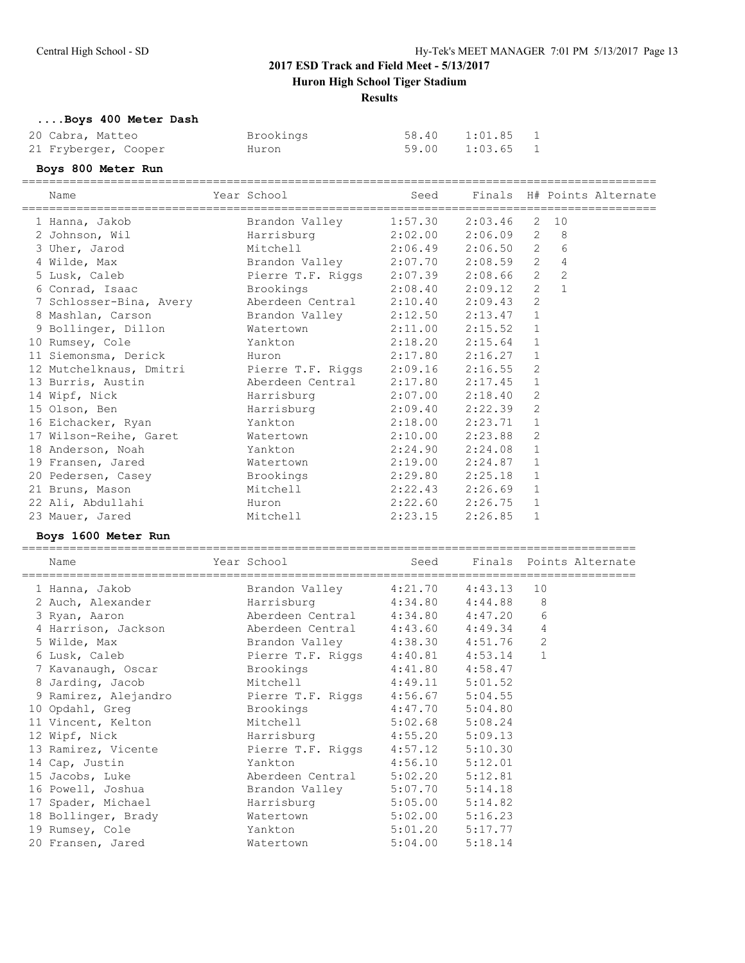**Huron High School Tiger Stadium**

**Results**

**....Boys 400 Meter Dash**

| 20 Cabra, Matteo     | Brookings | 58.40 1:01.85 1 |  |
|----------------------|-----------|-----------------|--|
| 21 Fryberger, Cooper | Huron     | 59.00 1:03.65 1 |  |

## **Boys 800 Meter Run**

| Name                    | Year School       | Seed                |                         |                       |                | Finals H# Points Alternate |
|-------------------------|-------------------|---------------------|-------------------------|-----------------------|----------------|----------------------------|
| 1 Hanna, Jakob          | Brandon Valley    | 1:57.30             | 2:03.46                 | 2                     | 10             |                            |
| 2 Johnson, Wil          | Harrisburg        | 2:02.00             | 2:06.09                 | $\mathbf{2}^{\prime}$ | 8              |                            |
| 3 Uher, Jarod           | Mitchell          | 2:06.49             | 2:06.50 2               |                       | 6              |                            |
| 4 Wilde, Max            | Brandon Valley    | $2:07.70$ $2:08.59$ |                         | 2                     | 4              |                            |
| 5 Lusk, Caleb           | Pierre T.F. Riggs | 2:07.39             | 2:08.66                 | $2^{\circ}$           | $\overline{2}$ |                            |
| 6 Conrad, Isaac         | Brookings         | 2:08.40             | 2:09.12                 | 2                     | $\mathbf{1}$   |                            |
| 7 Schlosser-Bina, Avery | Aberdeen Central  | 2:10.40             | 2:09.43                 | $\overline{2}$        |                |                            |
| 8 Mashlan, Carson       | Brandon Valley    | 2:12.50             | 2:13.47                 | $\mathbf{1}$          |                |                            |
| 9 Bollinger, Dillon     | Watertown         | 2:11.00             | 2:15.52                 | $\mathbf{1}$          |                |                            |
| 10 Rumsey, Cole         | Yankton           | 2:18.20             | 2:15.64                 | $\mathbf{1}$          |                |                            |
| 11 Siemonsma, Derick    | Huron             | 2:17.80             | 2:16.27                 | 1                     |                |                            |
| 12 Mutchelknaus, Dmitri | Pierre T.F. Riggs | 2:09.16             | 2:16.55                 | 2                     |                |                            |
| 13 Burris, Austin       | Aberdeen Central  | 2:17.80             | 2:17.45                 | $\mathbf{1}$          |                |                            |
| 14 Wipf, Nick           | Harrisburg        | 2:07.00             | 2:18.40                 | 2                     |                |                            |
| 15 Olson, Ben           | Harrisburg        | 2:09.40             | 2:22.39                 | $\overline{2}$        |                |                            |
| 16 Eichacker, Ryan      | Yankton           | 2:18.00             | 2:23.71                 | $\mathbf{1}$          |                |                            |
| 17 Wilson-Reihe, Garet  | Watertown         | 2:10.00             | 2:23.88                 | 2                     |                |                            |
| 18 Anderson, Noah       | Yankton           | 2:24.90             | 2:24.08                 | $\mathbf{1}$          |                |                            |
| 19 Fransen, Jared       | Watertown         | 2:19.00             | 2:24.87                 | 1                     |                |                            |
| 20 Pedersen, Casey      | Brookings         | 2:29.80             | 2:25.18                 | 1                     |                |                            |
| 21 Bruns, Mason         | Mitchell          | 2:22.43             | 2:26.69                 | $\mathbf{1}$          |                |                            |
| 22 Ali, Abdullahi       | Huron             | 2:22.60             | 2:26.75                 | $\mathbf{1}$          |                |                            |
|                         | Mitchell          |                     |                         | $\mathbf{1}$          |                |                            |
| 23 Mauer, Jared         |                   | 2:23.15             | 2:26.85                 |                       |                |                            |
| Boys 1600 Meter Run     |                   |                     |                         |                       |                |                            |
| Name                    | Year School       | Seed                | Finals Points Alternate |                       |                |                            |
| 1 Hanna, Jakob          | Brandon Valley    | 4:21.70             | 4:43.13                 | 10                    |                |                            |
| 2 Auch, Alexander       | Harrisburg        | 4:34.80             | 4:44.88                 |                       | 8              |                            |
| 3 Ryan, Aaron           | Aberdeen Central  | $4:34.80$ $4:47.20$ |                         |                       | 6              |                            |
| 4 Harrison, Jackson     | Aberdeen Central  | $4:43.60$ $4:49.34$ |                         |                       | 4              |                            |
| 5 Wilde, Max            | Brandon Valley    | $4:38.30$ $4:51.76$ |                         |                       | $\overline{c}$ |                            |
| 6 Lusk, Caleb           | Pierre T.F. Riggs | 4:40.81             | 4:53.14                 |                       | $\mathbf{1}$   |                            |
| 7 Kavanaugh, Oscar      | Brookings         | 4:41.80             | 4:58.47                 |                       |                |                            |
| 8 Jarding, Jacob        | Mitchell          | 4:49.11             | 5:01.52                 |                       |                |                            |
| 9 Ramirez, Alejandro    | Pierre T.F. Riggs | 4:56.67             | 5:04.55                 |                       |                |                            |
| 10 Opdahl, Greq         | Brookings         | 4:47.70             | 5:04.80                 |                       |                |                            |
| 11 Vincent, Kelton      | Mitchell          | 5:02.68             | 5:08.24                 |                       |                |                            |
| 12 Wipf, Nick           | Harrisburg        | 4:55.20             | 5:09.13                 |                       |                |                            |
| 13 Ramirez, Vicente     | Pierre T.F. Riggs | 4:57.12             | 5:10.30                 |                       |                |                            |
| 14 Cap, Justin          | Yankton           | 4:56.10             | 5:12.01                 |                       |                |                            |
| 15 Jacobs, Luke         | Aberdeen Central  | 5:02.20             | 5:12.81                 |                       |                |                            |
|                         | Brandon Valley    | 5:07.70             | 5:14.18                 |                       |                |                            |
| 16 Powell, Joshua       |                   |                     |                         |                       |                |                            |

17 Spader, Michael Harrisburg 5:05.00 5:14.82 18 Bollinger, Brady Watertown 5:02.00 5:16.23 19 Rumsey, Cole Yankton 5:01.20 5:17.77 20 Fransen, Jared Watertown 5:04.00 5:18.14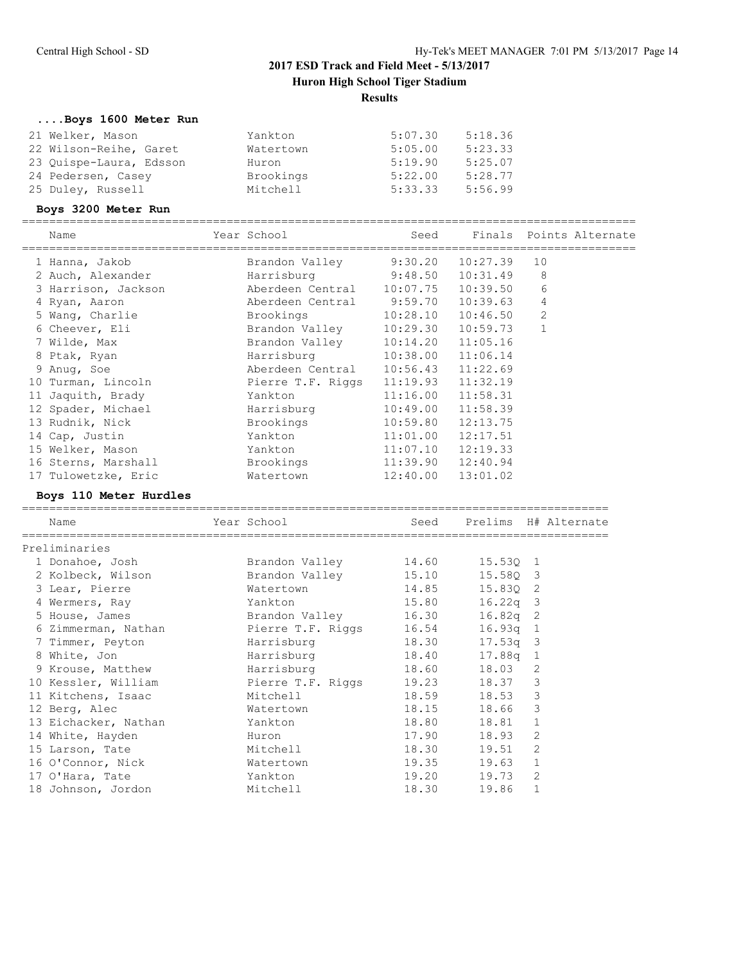## **....Boys 1600 Meter Run**

| 21 Welker, Mason        | Yankton   | 5:07.30 | 5:18.36 |
|-------------------------|-----------|---------|---------|
| 22 Wilson-Reihe, Garet  | Watertown | 5:05.00 | 5:23.33 |
| 23 Quispe-Laura, Edsson | Huron     | 5:19.90 | 5:25.07 |
| 24 Pedersen, Casey      | Brookings | 5:22.00 | 5:28.77 |
| 25 Duley, Russell       | Mitchell  | 5:33.33 | 5:56.99 |

## **Boys 3200 Meter Run**

| Name                | Year School                        |                       | Seed Finals Points Alternate |                |  |
|---------------------|------------------------------------|-----------------------|------------------------------|----------------|--|
| 1 Hanna, Jakob      | Brandon Valley 9:30.20 10:27.39    |                       |                              | 10             |  |
| 2 Auch, Alexander   | Harrisburg 9:48.50 10:31.49        |                       |                              | 8              |  |
| 3 Harrison, Jackson | Aberdeen Central 10:07.75 10:39.50 |                       |                              | 6              |  |
| 4 Ryan, Aaron       | Aberdeen Central 9:59.70 10:39.63  |                       |                              | 4              |  |
| 5 Wang, Charlie     | Brookings                          |                       | $10:28.10$ $10:46.50$        | $\overline{c}$ |  |
| 6 Cheever, Eli      | Brandon Valley                     |                       | $10:29.30$ $10:59.73$        | $\mathbf{1}$   |  |
| 7 Wilde, Max        | Brandon Valley                     | $10:14.20$ $11:05.16$ |                              |                |  |
| 8 Ptak, Ryan        | Harrisburg                         | 10:38.00 11:06.14     |                              |                |  |
| 9 Anuq, Soe         | Aberdeen Central 10:56.43 11:22.69 |                       |                              |                |  |
| 10 Turman, Lincoln  | Pierre T.F. Riggs                  | $11:19.93$ $11:32.19$ |                              |                |  |
| 11 Jaquith, Brady   | Yankton                            | $11:16.00$ $11:58.31$ |                              |                |  |
| 12 Spader, Michael  | Harrisburg                         | $10:49.00$ $11:58.39$ |                              |                |  |
| 13 Rudnik, Nick     | Brookings                          | $10:59.80$ $12:13.75$ |                              |                |  |
| 14 Cap, Justin      | Yankton                            | $11:01.00$ $12:17.51$ |                              |                |  |
| 15 Welker, Mason    | Yankton                            | $11:07.10$ $12:19.33$ |                              |                |  |
| 16 Sterns, Marshall | Brookings                          | 11:39.90 12:40.94     |                              |                |  |
| 17 Tulowetzke, Eric | Watertown                          | $12:40.00$ $13:01.02$ |                              |                |  |

## **Boys 110 Meter Hurdles**

| Name |                                                                                                                                                                                                                                                                |              |                                                                                 |       |                                                                                                                                                                                                                                                                                                                  |                                                                                                                                                                                                                                  |
|------|----------------------------------------------------------------------------------------------------------------------------------------------------------------------------------------------------------------------------------------------------------------|--------------|---------------------------------------------------------------------------------|-------|------------------------------------------------------------------------------------------------------------------------------------------------------------------------------------------------------------------------------------------------------------------------------------------------------------------|----------------------------------------------------------------------------------------------------------------------------------------------------------------------------------------------------------------------------------|
|      |                                                                                                                                                                                                                                                                |              |                                                                                 |       |                                                                                                                                                                                                                                                                                                                  |                                                                                                                                                                                                                                  |
|      |                                                                                                                                                                                                                                                                |              |                                                                                 |       |                                                                                                                                                                                                                                                                                                                  |                                                                                                                                                                                                                                  |
|      |                                                                                                                                                                                                                                                                |              |                                                                                 |       |                                                                                                                                                                                                                                                                                                                  |                                                                                                                                                                                                                                  |
|      |                                                                                                                                                                                                                                                                | Watertown    |                                                                                 |       |                                                                                                                                                                                                                                                                                                                  |                                                                                                                                                                                                                                  |
|      |                                                                                                                                                                                                                                                                | Yankton      |                                                                                 |       |                                                                                                                                                                                                                                                                                                                  |                                                                                                                                                                                                                                  |
|      |                                                                                                                                                                                                                                                                |              |                                                                                 |       |                                                                                                                                                                                                                                                                                                                  |                                                                                                                                                                                                                                  |
|      |                                                                                                                                                                                                                                                                |              |                                                                                 |       |                                                                                                                                                                                                                                                                                                                  |                                                                                                                                                                                                                                  |
|      |                                                                                                                                                                                                                                                                |              |                                                                                 |       |                                                                                                                                                                                                                                                                                                                  |                                                                                                                                                                                                                                  |
|      |                                                                                                                                                                                                                                                                |              |                                                                                 |       |                                                                                                                                                                                                                                                                                                                  |                                                                                                                                                                                                                                  |
|      |                                                                                                                                                                                                                                                                |              |                                                                                 |       | 2                                                                                                                                                                                                                                                                                                                |                                                                                                                                                                                                                                  |
|      |                                                                                                                                                                                                                                                                |              |                                                                                 |       | 3                                                                                                                                                                                                                                                                                                                |                                                                                                                                                                                                                                  |
|      |                                                                                                                                                                                                                                                                |              |                                                                                 |       | 3                                                                                                                                                                                                                                                                                                                |                                                                                                                                                                                                                                  |
|      |                                                                                                                                                                                                                                                                |              |                                                                                 |       | 3                                                                                                                                                                                                                                                                                                                |                                                                                                                                                                                                                                  |
|      |                                                                                                                                                                                                                                                                |              |                                                                                 |       | 1                                                                                                                                                                                                                                                                                                                |                                                                                                                                                                                                                                  |
|      |                                                                                                                                                                                                                                                                | Huron        |                                                                                 |       | 2                                                                                                                                                                                                                                                                                                                |                                                                                                                                                                                                                                  |
|      |                                                                                                                                                                                                                                                                |              |                                                                                 |       | $\mathfrak{D}$                                                                                                                                                                                                                                                                                                   |                                                                                                                                                                                                                                  |
|      |                                                                                                                                                                                                                                                                |              |                                                                                 |       | 1                                                                                                                                                                                                                                                                                                                |                                                                                                                                                                                                                                  |
|      |                                                                                                                                                                                                                                                                | Yankton      |                                                                                 |       | 2                                                                                                                                                                                                                                                                                                                |                                                                                                                                                                                                                                  |
|      |                                                                                                                                                                                                                                                                | Mitchell     |                                                                                 | 19.86 | $\mathbf{1}$                                                                                                                                                                                                                                                                                                     |                                                                                                                                                                                                                                  |
|      | Preliminaries<br>2 Kolbeck, Wilson<br>3 Lear, Pierre<br>4 Wermers, Ray<br>7 Timmer, Peyton<br>11 Kitchens, Isaac<br>12 Berg, Alec<br>13 Eichacker, Nathan<br>14 White, Hayden<br>15 Larson, Tate<br>16 O'Connor, Nick<br>17 O'Hara, Tate<br>18 Johnson, Jordon | 8 White, Jon | ===============================<br>Mitchell<br>Yankton<br>Mitchell<br>Watertown |       | 1 Donahoe, Josh           Brandon Valley         14.60<br>Brandon Valley 15.10<br>14.85<br>15.80<br>5 House, James 6 (1992) Brandon Valley 16.30<br>Harrisburg 18.30<br>Harrisburg 18.40<br>9 Krouse, Matthew Harrisburg 18.60<br>18.59<br>Watertown 18.15<br>18.80<br>17.90<br>18.30<br>19.35<br>19.20<br>18.30 | Year School Seed Prelims H# Alternate<br>15.530 1<br>15.58Q 3<br>15.830 2<br>$16.22q$ 3<br>$16.82q$ 2<br>$16.93q$ 1<br>$17.53q$ 3<br>$17.88q$ 1<br>18.03<br>18.37<br>18.53<br>18.66<br>18.81<br>18.93<br>19.51<br>19.63<br>19.73 |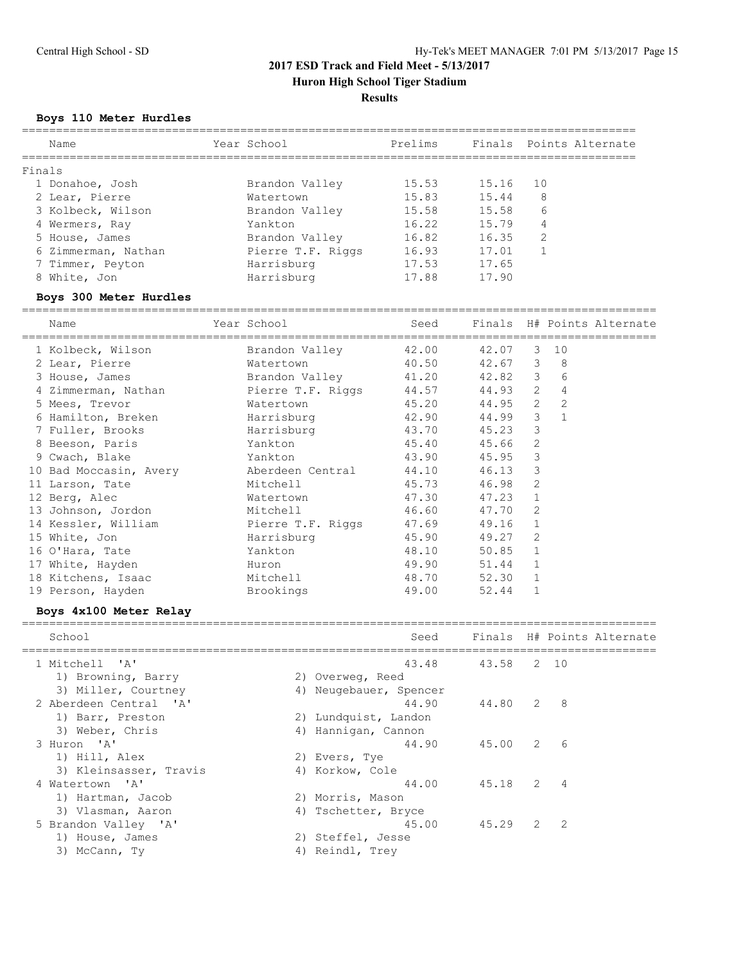**Huron High School Tiger Stadium**

## **Results**

#### **Boys 110 Meter Hurdles**

| Name                | Year School       | Prelims |       | Finals Points Alternate |
|---------------------|-------------------|---------|-------|-------------------------|
| Finals              |                   |         |       |                         |
| 1 Donahoe, Josh     | Brandon Valley    | 15.53   | 15.16 | 10                      |
| 2 Lear, Pierre      | Watertown         | 15.83   | 15.44 | 8                       |
| 3 Kolbeck, Wilson   | Brandon Valley    | 15.58   | 15.58 | 6                       |
| 4 Wermers, Ray      | Yankton           | 16.22   | 15.79 | 4                       |
| 5 House, James      | Brandon Valley    | 16.82   | 16.35 | 2                       |
| 6 Zimmerman, Nathan | Pierre T.F. Riggs | 16.93   | 17.01 |                         |
| 7 Timmer, Peyton    | Harrisburg        | 17.53   | 17.65 |                         |
| 8 White, Jon        | Harrisburg        | 17.88   | 17.90 |                         |
|                     |                   |         |       |                         |

#### **Boys 300 Meter Hurdles**

============================================================================================= Name The Year School Seed Finals H# Points Alternate ============================================================================================= 1 Kolbeck, Wilson Brandon Valley 42.00 42.07 3 10 2 Lear, Pierre Watertown 40.50 42.67 3 8 3 House, James Brandon Valley 41.20 42.82 3 6 4 Zimmerman, Nathan Pierre T.F. Riggs 44.57 44.93 2 4 5 Mees, Trevor Watertown 45.20 44.95 2 2 6 Hamilton, Breken Harrisburg 42.90 44.99 3 1 7 Fuller, Brooks Harrisburg 43.70 45.23 3 8 Beeson, Paris Yankton 45.40 45.66 2 9 Cwach, Blake Yankton 43.90 45.95 3 10 Bad Moccasin, Avery Aberdeen Central 44.10 46.13 3 11 Larson, Tate 6.98 Mitchell 45.73 46.98 2 12 Berg, Alec **Watertown** 47.30 47.23 1 13 Johnson, Jordon Mitchell 46.60 47.70 2 14 Kessler, William Pierre T.F. Riggs 47.69 49.16 1 15 White, Jon **Harrisburg** 45.90 49.27 2 16 O'Hara, Tate Yankton 48.10 50.85 1 17 White, Hayden **Huron** Huron 49.90 51.44 1 18 Kitchens, Isaac Mitchell 48.70 52.30 1 19 Person, Hayden Brookings 49.00 52.44 1

#### **Boys 4x100 Meter Relay**

| School                 | Seed                   |                  |     | Finals H# Points Alternate |
|------------------------|------------------------|------------------|-----|----------------------------|
| 1 Mitchell 'A'         |                        | 43.48 43.58 2 10 |     |                            |
| 1) Browning, Barry     | 2) Overweg, Reed       |                  |     |                            |
| 3) Miller, Courtney    | 4) Neugebauer, Spencer |                  |     |                            |
| 2 Aberdeen Central 'A' | 44.90                  | 44.80 2 8        |     |                            |
| 1) Barr, Preston       | 2) Lundquist, Landon   |                  |     |                            |
| 3) Weber, Chris        | 4) Hannigan, Cannon    |                  |     |                            |
| 3 Huron 'A'            | 44.90                  | 45.00 2 6        |     |                            |
| 1) Hill, Alex          | 2) Evers, Tye          |                  |     |                            |
| 3) Kleinsasser, Travis | 4) Korkow, Cole        |                  |     |                            |
| 4 Watertown 'A'        | 44.00                  | 45.18 2 4        |     |                            |
| 1) Hartman, Jacob      | 2) Morris, Mason       |                  |     |                            |
| 3) Vlasman, Aaron      | 4) Tschetter, Bryce    |                  |     |                            |
| 5 Brandon Valley 'A'   | 45.00                  | 45.29            | 2 2 |                            |
| 1) House, James        | 2) Steffel, Jesse      |                  |     |                            |
| 3) McCann, Ty          | 4) Reindl, Trev        |                  |     |                            |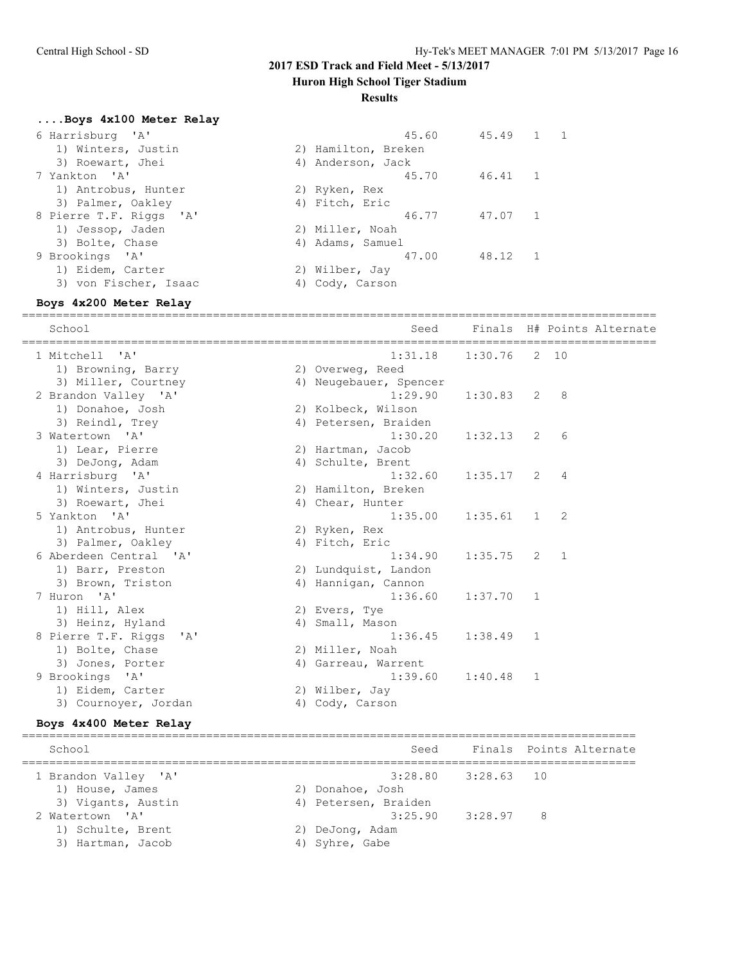**Huron High School Tiger Stadium**

## **Results**

**....Boys 4x100 Meter Relay**

| 45.60 |                                                                                                                                                         |            |
|-------|---------------------------------------------------------------------------------------------------------------------------------------------------------|------------|
|       |                                                                                                                                                         |            |
|       |                                                                                                                                                         |            |
| 45.70 | 46.41                                                                                                                                                   | $\sqrt{1}$ |
|       |                                                                                                                                                         |            |
|       |                                                                                                                                                         |            |
| 46.77 | 47.07                                                                                                                                                   |            |
|       |                                                                                                                                                         |            |
|       |                                                                                                                                                         |            |
| 47.00 | 48.12                                                                                                                                                   | $\sim$ 1   |
|       |                                                                                                                                                         |            |
|       |                                                                                                                                                         |            |
|       | 2) Hamilton, Breken<br>4) Anderson, Jack<br>2) Ryken, Rex<br>4) Fitch, Eric<br>2) Miller, Noah<br>4) Adams, Samuel<br>2) Wilber, Jay<br>4) Cody, Carson | 45.49 1 1  |

## **Boys 4x200 Meter Relay**

|                             |                        |                |                | =========                  |
|-----------------------------|------------------------|----------------|----------------|----------------------------|
| School                      | Seed                   |                |                | Finals H# Points Alternate |
| 1 Mitchell 'A'              | 1:31.18                | $1:30.76$ 2 10 |                |                            |
| 1) Browning, Barry          | 2) Overweg, Reed       |                |                |                            |
| 3) Miller, Courtney         | 4) Neugebauer, Spencer |                |                |                            |
| 2 Brandon Valley 'A'        | 1:29.90                | $1:30.83$ 2 8  |                |                            |
| 1) Donahoe, Josh            | 2) Kolbeck, Wilson     |                |                |                            |
| 3) Reindl, Trey             | 4) Petersen, Braiden   |                |                |                            |
| 3 Watertown 'A'             | 1:30.20                | $1:32.13$ 2    |                | 6                          |
| 1) Lear, Pierre             | 2) Hartman, Jacob      |                |                |                            |
| 3) DeJong, Adam             | 4) Schulte, Brent      |                |                |                            |
| 4 Harrisburg 'A'            | 1:32.60                | $1:35.17$ 2    |                | $\overline{4}$             |
| 1) Winters, Justin          | 2) Hamilton, Breken    |                |                |                            |
| 3) Roewart, Jhei            | 4) Chear, Hunter       |                |                |                            |
| 5 Yankton 'A'               | 1:35.00                | $1:35.61$ 1    |                | 2                          |
| 1) Antrobus, Hunter         | 2) Ryken, Rex          |                |                |                            |
| 3) Palmer, Oakley           | 4) Fitch, Eric         |                |                |                            |
| 6 Aberdeen Central 'A'      | 1:34.90                | $1:35.75$ 2 1  |                |                            |
| 1) Barr, Preston            | 2) Lundquist, Landon   |                |                |                            |
| 3) Brown, Triston           | 4) Hannigan, Cannon    |                |                |                            |
| 7 Huron 'A'                 | 1:36.60                | 1:37.70 1      |                |                            |
| 1) Hill, Alex               | 2) Evers, Tye          |                |                |                            |
| 3) Heinz, Hyland            | 4) Small, Mason        |                |                |                            |
| 8 Pierre T.F. Riggs 'A'     | 1:36.45                | $1:38.49$ 1    |                |                            |
| 1) Bolte, Chase             | 2) Miller, Noah        |                |                |                            |
| 3) Jones, Porter            | 4) Garreau, Warrent    |                |                |                            |
| 9 Brookings<br>$\mathsf{A}$ | 1:39.60                | 1:40.48        | $\overline{1}$ |                            |
| 1) Eidem, Carter            | 2) Wilber, Jay         |                |                |                            |
| 3) Cournover, Jordan        | 4) Cody, Carson        |                |                |                            |
|                             |                        |                |                |                            |

## **Boys 4x400 Meter Relay**

| Finals Points Alternate<br>School<br>Seed<br>$3:28.80$ $3:28.63$ 10<br>1 Brandon Valley 'A'<br>2) Donahoe, Josh<br>1) House, James<br>3) Vigants, Austin<br>4) Petersen, Braiden<br>$3:25.90$ $3:28.97$ 8<br>2 Watertown 'A'<br>1) Schulte, Brent<br>2) DeJonq, Adam<br>3) Hartman, Jacob<br>4) Syhre, Gabe |  |  |  |
|-------------------------------------------------------------------------------------------------------------------------------------------------------------------------------------------------------------------------------------------------------------------------------------------------------------|--|--|--|
|                                                                                                                                                                                                                                                                                                             |  |  |  |
|                                                                                                                                                                                                                                                                                                             |  |  |  |
|                                                                                                                                                                                                                                                                                                             |  |  |  |
|                                                                                                                                                                                                                                                                                                             |  |  |  |
|                                                                                                                                                                                                                                                                                                             |  |  |  |
|                                                                                                                                                                                                                                                                                                             |  |  |  |
|                                                                                                                                                                                                                                                                                                             |  |  |  |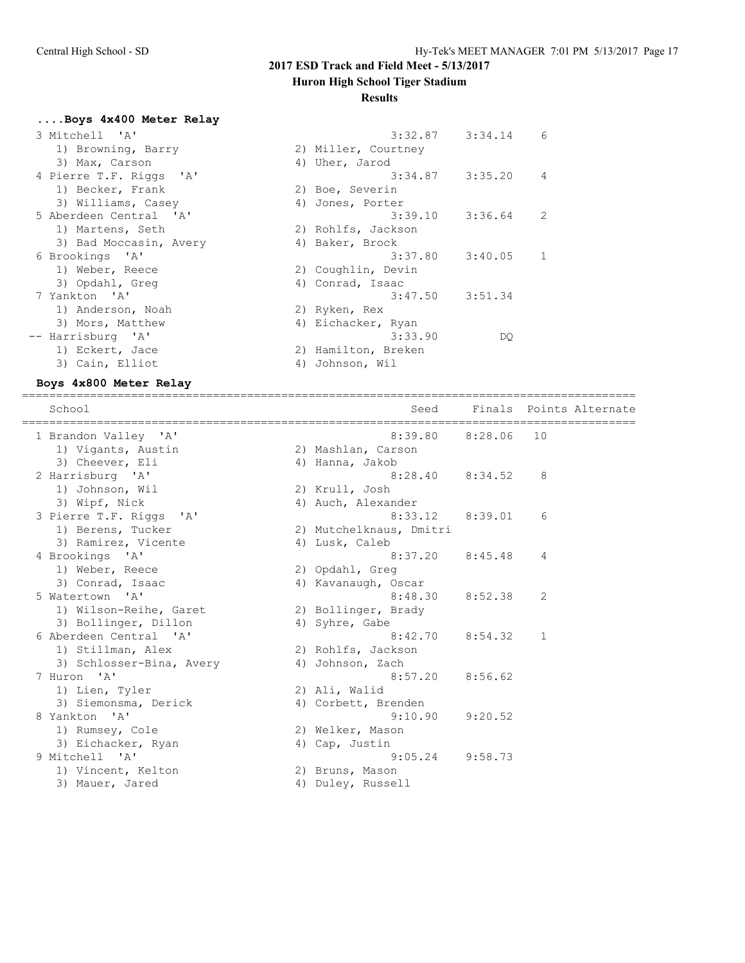## **Huron High School Tiger Stadium**

## **Results**

**....Boys 4x400 Meter Relay**

| 3 Mitchell 'A'          | 3:32.87             | 3:34.14 | 6 |
|-------------------------|---------------------|---------|---|
| 1) Browning, Barry      | 2) Miller, Courtney |         |   |
| 3) Max, Carson          | 4) Uher, Jarod      |         |   |
| 4 Pierre T.F. Riggs 'A' | 3:34.87             | 3:35.20 | 4 |
| 1) Becker, Frank        | 2) Boe, Severin     |         |   |
| 3) Williams, Casey      | 4) Jones, Porter    |         |   |
| 5 Aberdeen Central 'A'  | 3:39.10             | 3:36.64 | 2 |
| 1) Martens, Seth        | 2) Rohlfs, Jackson  |         |   |
| 3) Bad Moccasin, Avery  | 4) Baker, Brock     |         |   |
| 6 Brookings 'A'         | 3:37.80             | 3:40.05 |   |
| 1) Weber, Reece         | 2) Coughlin, Devin  |         |   |
| 3) Opdahl, Greq         | 4) Conrad, Isaac    |         |   |
| 7 Yankton 'A'           | 3:47.50             | 3:51.34 |   |
| 1) Anderson, Noah       | 2) Ryken, Rex       |         |   |
| 3) Mors, Matthew        | 4) Eichacker, Ryan  |         |   |
| -- Harrisburg 'A'       | 3:33.90             | DQ.     |   |
| 1) Eckert, Jace         | 2) Hamilton, Breken |         |   |
| 3) Cain, Elliot         | 4) Johnson, Wil     |         |   |
|                         |                     |         |   |

## **Boys 4x800 Meter Relay**

| School                   | Seed                    |            | Finals Points Alternate<br>================= |
|--------------------------|-------------------------|------------|----------------------------------------------|
| 1 Brandon Valley 'A'     | 8:39.80                 | 8:28.06 10 |                                              |
| 1) Vigants, Austin       | 2) Mashlan, Carson      |            |                                              |
| 3) Cheever, Eli          | 4) Hanna, Jakob         |            |                                              |
| 2 Harrisburg 'A'         | $8:28.40$ $8:34.52$     |            | 8                                            |
| 1) Johnson, Wil          | 2) Krull, Josh          |            |                                              |
| 3) Wipf, Nick            | 4) Auch, Alexander      |            |                                              |
| 3 Pierre T.F. Riggs 'A'  | 8:33.12                 | 8:39.01    | 6                                            |
| 1) Berens, Tucker        | 2) Mutchelknaus, Dmitri |            |                                              |
| 3) Ramirez, Vicente      | 4) Lusk, Caleb          |            |                                              |
| 4 Brookings 'A'          | 8:37.20                 | 8:45.48    | 4                                            |
| 1) Weber, Reece          | 2) Opdahl, Greq         |            |                                              |
| 3) Conrad, Isaac         | 4) Kavanaugh, Oscar     |            |                                              |
| 5 Watertown 'A'          | 8:48.30                 | 8:52.38    | 2                                            |
| 1) Wilson-Reihe, Garet   | 2) Bollinger, Brady     |            |                                              |
| 3) Bollinger, Dillon     | 4) Syhre, Gabe          |            |                                              |
| 6 Aberdeen Central 'A'   | 8:42.70                 | 8:54.32    | 1                                            |
| 1) Stillman, Alex        | 2) Rohlfs, Jackson      |            |                                              |
| 3) Schlosser-Bina, Avery | 4) Johnson, Zach        |            |                                              |
| 7 Huron 'A'              | 8:57.20                 | 8:56.62    |                                              |
| 1) Lien, Tyler           | 2) Ali, Walid           |            |                                              |
| 3) Siemonsma, Derick     | 4) Corbett, Brenden     |            |                                              |
| 8 Yankton 'A'            | 9:10.90                 | 9:20.52    |                                              |
| 1) Rumsey, Cole          | 2) Welker, Mason        |            |                                              |
| 3) Eichacker, Ryan       | 4) Cap, Justin          |            |                                              |
| 9 Mitchell 'A'           | 9:05.24                 | 9:58.73    |                                              |
| 1) Vincent, Kelton       | 2) Bruns, Mason         |            |                                              |
| 3) Mauer, Jared          | 4) Duley, Russell       |            |                                              |
|                          |                         |            |                                              |

==========================================================================================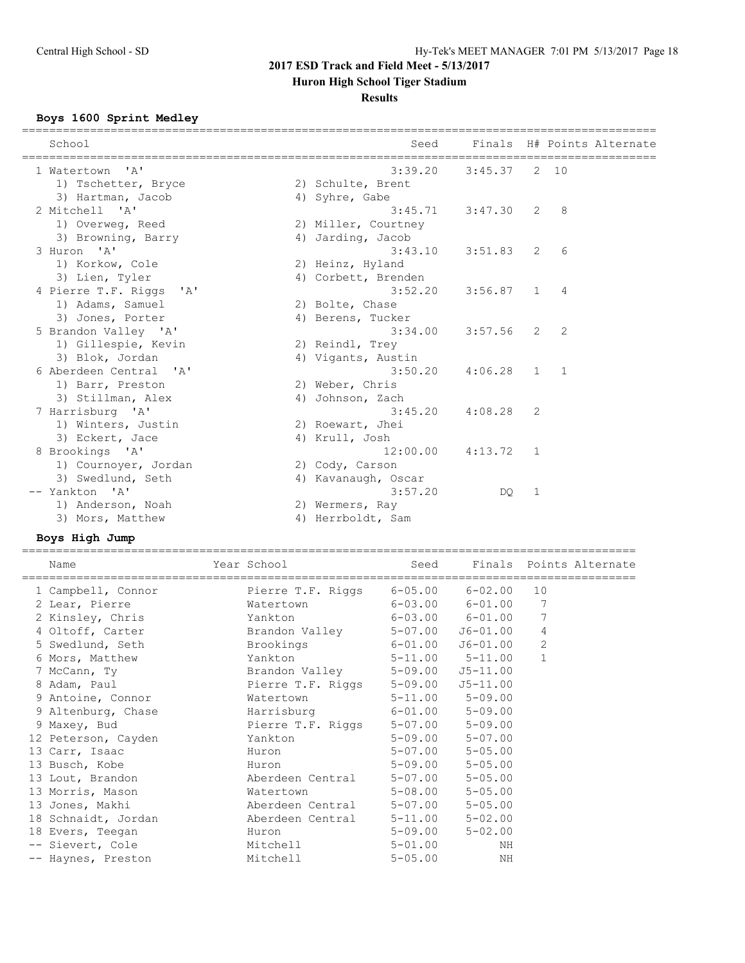**Huron High School Tiger Stadium**

## **Results**

## **Boys 1600 Sprint Medley**

| School                  | Seed                |               |   | Finals H# Points Alternate |
|-------------------------|---------------------|---------------|---|----------------------------|
| 1 Watertown 'A'         | 3:39.20             | 3:45.37 2 10  |   |                            |
| 1) Tschetter, Bryce     | 2) Schulte, Brent   |               |   |                            |
| 3) Hartman, Jacob       | 4) Syhre, Gabe      |               |   |                            |
| 2 Mitchell 'A'          | 3:45.71             | $3:47.30$ 2 8 |   |                            |
| 1) Overweg, Reed        | 2) Miller, Courtney |               |   |                            |
| 3) Browning, Barry      | 4) Jarding, Jacob   |               |   |                            |
| 3 Huron 'A'             | 3:43.10             | $3:51.83$ 2   |   | - 6                        |
| 1) Korkow, Cole         | 2) Heinz, Hyland    |               |   |                            |
| 3) Lien, Tyler          | 4) Corbett, Brenden |               |   |                            |
| 4 Pierre T.F. Riggs 'A' | 3:52.20             | $3:56.87$ 1 4 |   |                            |
| 1) Adams, Samuel        | 2) Bolte, Chase     |               |   |                            |
| 3) Jones, Porter        | 4) Berens, Tucker   |               |   |                            |
| 5 Brandon Valley 'A'    | 3:34.00             | $3:57.56$ 2   |   | 2                          |
| 1) Gillespie, Kevin     | 2) Reindl, Trey     |               |   |                            |
| 3) Blok, Jordan         | 4) Vigants, Austin  |               |   |                            |
| 6 Aberdeen Central 'A'  | 3:50.20             | $4:06.28$ 1 1 |   |                            |
| 1) Barr, Preston        | 2) Weber, Chris     |               |   |                            |
| 3) Stillman, Alex       | 4) Johnson, Zach    |               |   |                            |
| 7 Harrisburg 'A'        | 3:45.20             | $4:08.28$ 2   |   |                            |
| 1) Winters, Justin      | 2) Roewart, Jhei    |               |   |                            |
| 3) Eckert, Jace         | 4) Krull, Josh      |               |   |                            |
| 8 Brookings 'A'         | 12:00.00            | $4:13.72$ 1   |   |                            |
| 1) Cournoyer, Jordan    | 2) Cody, Carson     |               |   |                            |
| 3) Swedlund, Seth       | 4) Kavanaugh, Oscar |               |   |                            |
| -- Yankton 'A'          | 3:57.20             | DQ            | 1 |                            |
| 1) Anderson, Noah       | 2) Wermers, Ray     |               |   |                            |
| 3) Mors, Matthew        | 4) Herrboldt, Sam   |               |   |                            |
|                         |                     |               |   |                            |

## **Boys High Jump**

| Name                                             | Year School                          |             | Seed Finals Points Alternate |                |  |
|--------------------------------------------------|--------------------------------------|-------------|------------------------------|----------------|--|
| 1 Campbell, Connor                               | Pierre T.F. Riggs 6-05.00 6-02.00 10 |             |                              |                |  |
| 2 Lear, Pierre                                   | Watertown 6-03.00 6-01.00 7          |             |                              |                |  |
| 2 Kinsley, Chris                                 | Yankton 6-03.00 6-01.00              |             |                              |                |  |
| 4 Oltoff, Carter Brandon Valley 5-07.00 J6-01.00 |                                      |             |                              | 4              |  |
| 5 Swedlund, Seth Brookings 6-01.00 J6-01.00      |                                      |             |                              | $\overline{2}$ |  |
| 6 Mors, Matthew                                  | Yankton 5-11.00 5-11.00              |             |                              | $\mathbf{1}$   |  |
| 7 McCann, Ty                                     | Brandon Valley 5-09.00 J5-11.00      |             |                              |                |  |
| 8 Adam, Paul                                     | Pierre T.F. Riggs 5-09.00 J5-11.00   |             |                              |                |  |
| 9 Antoine, Connor                                | Watertown 5-11.00 5-09.00            |             |                              |                |  |
| 9 Altenburg, Chase Marrisburg 6-01.00 5-09.00    |                                      |             |                              |                |  |
| 9 Maxey, Bud                                     | Pierre T.F. Riggs 5-07.00 5-09.00    |             |                              |                |  |
| 12 Peterson, Cayden                              | Yankton                              |             | $5 - 09.00$ $5 - 07.00$      |                |  |
| 13 Carr, Isaac                                   | Huron                                | $5 - 07.00$ | $5 - 05.00$                  |                |  |
| 13 Busch, Kobe                                   | and Huron                            | $5 - 09.00$ | $5 - 05.00$                  |                |  |
| 13 Lout, Brandon                                 | Aberdeen Central 5-07.00             |             | $5 - 05.00$                  |                |  |
| 13 Morris, Mason                                 | Watertown 5-08.00                    |             | $5 - 05.00$                  |                |  |
| 13 Jones, Makhi                                  | Aberdeen Central 5-07.00             |             | $5 - 05.00$                  |                |  |
| 18 Schnaidt, Jordan                              | Aberdeen Central 5-11.00             |             | $5 - 02.00$                  |                |  |
| 18 Evers, Teegan                                 | Huron                                |             | $5 - 09.00$ $5 - 02.00$      |                |  |
| -- Sievert, Cole                                 | Mitchell and the Mitchell            | $5 - 01.00$ | NH                           |                |  |
| -- Haynes, Preston                               | Mitchell                             | $5 - 05.00$ | ΝH                           |                |  |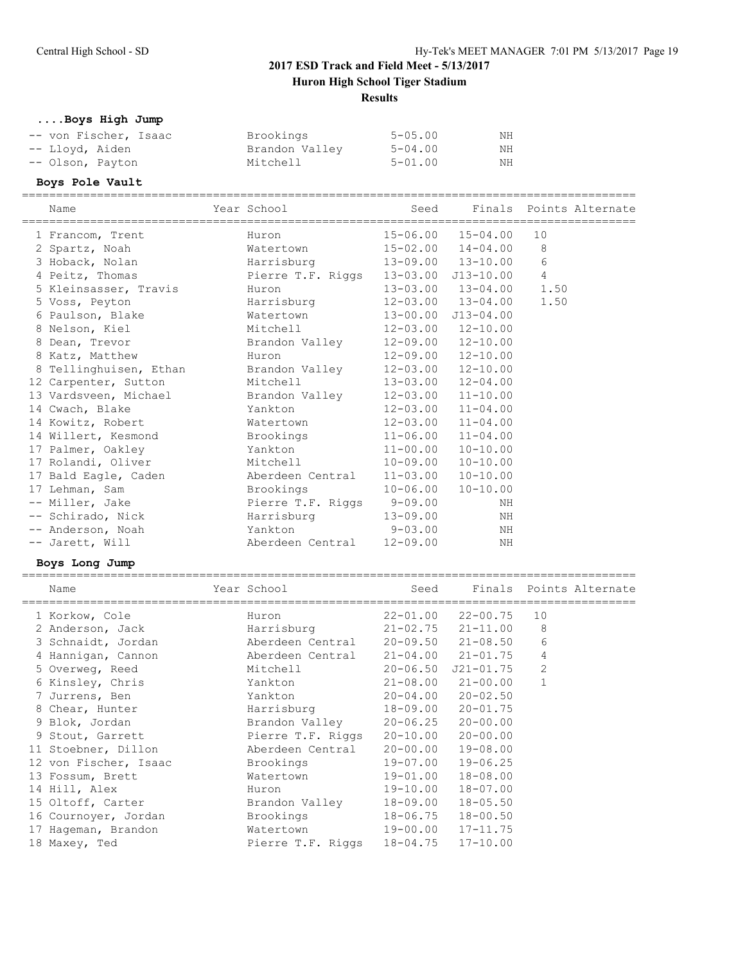**....Boys High Jump**

| -- von Fischer, Isaac | Brookings      | $5 - 0.5$ , 00 | NΗ |
|-----------------------|----------------|----------------|----|
| -- Lloyd, Aiden       | Brandon Valley | 5-04.00        | ΝH |
| -- Olson, Payton      | Mitchell       | 5-01.00        | NH |

#### **Boys Pole Vault**

========================================================================================== Name The Year School Seed Finals Points Alternate ========================================================================================== 1 Francom, Trent Huron 15-06.00 15-04.00 10 2 Spartz, Noah Watertown 15-02.00 14-04.00 8 3 Hoback, Nolan Harrisburg 13-09.00 13-10.00 6 4 Peitz, Thomas Pierre T.F. Riggs 13-03.00 J13-10.00 4 5 Kleinsasser, Travis Huron 13-03.00 13-04.00 1.50 5 Voss, Peyton Harrisburg 12-03.00 13-04.00 1.50 6 Paulson, Blake Watertown 13-00.00 J13-04.00 8 Nelson, Kiel Mitchell 12-03.00 12-10.00 8 Dean, Trevor Brandon Valley 12-09.00 12-10.00 8 Katz, Matthew Huron 12-09.00 12-10.00 8 Tellinghuisen, Ethan Brandon Valley 12-03.00 12-10.00 12 Carpenter, Sutton Mitchell 13-03.00 12-04.00 13 Vardsveen, Michael Brandon Valley 12-03.00 11-10.00 14 Cwach, Blake Yankton 12-03.00 11-04.00 14 Kowitz, Robert Watertown 12-03.00 11-04.00 14 Willert, Kesmond Brookings 11-06.00 11-04.00 17 Palmer, Oakley Yankton 11-00.00 10-10.00 17 Rolandi, Oliver Mitchell 10-09.00 10-10.00 17 Bald Eagle, Caden Merdeen Central 11-03.00 10-10.00 17 Lehman, Sam Brookings 10-06.00 10-10.00 -- Miller, Jake  $\overline{P}$  Pierre T.F. Riggs 9-09.00 NH -- Schirado, Nick Marrisburg 13-09.00 NH -- Anderson, Noah Yankton 9-03.00 NH -- Jarett, Will Aberdeen Central 12-09.00 NH **Boys Long Jump** ========================================================================================== Name The Year School Contract Seed Finals Points Alternate ========================================================================================== 1 Korkow, Cole Huron 22-01.00 22-00.75 10 2 Anderson, Jack Harrisburg 21-02.75 21-11.00 8 3 Schnaidt, Jordan Aberdeen Central 20-09.50 21-08.50 6

| 2 Anderson, Jack      | Harrisburg        | 21-02.75     | 21-11.00     | 8            |  |
|-----------------------|-------------------|--------------|--------------|--------------|--|
| 3 Schnaidt, Jordan    | Aberdeen Central  | $20 - 09.50$ | $21 - 08.50$ | 6            |  |
| 4 Hannigan, Cannon    | Aberdeen Central  | $21 - 04.00$ | $21 - 01.75$ | 4            |  |
| 5 Overweg, Reed       | Mitchell          | $20 - 06.50$ | J21-01.75    | 2            |  |
| 6 Kinsley, Chris      | Yankton           | $21 - 08.00$ | 21-00.00     | $\mathbf{1}$ |  |
| 7 Jurrens, Ben        | Yankton           | $20 - 04.00$ | $20 - 02.50$ |              |  |
| 8 Chear, Hunter       | Harrisburg        | 18-09.00     | $20 - 01.75$ |              |  |
| 9 Blok, Jordan        | Brandon Valley    | 20-06.25     | $20 - 00.00$ |              |  |
| 9 Stout, Garrett      | Pierre T.F. Riggs | 20-10.00     | $20 - 00.00$ |              |  |
| 11 Stoebner, Dillon   | Aberdeen Central  | 20-00.00     | $19 - 08.00$ |              |  |
| 12 von Fischer, Isaac | Brookings         | 19-07.00     | $19 - 06.25$ |              |  |
| 13 Fossum, Brett      | Watertown         | 19-01.00     | $18 - 08.00$ |              |  |
| 14 Hill, Alex         | Huron             | 19-10.00     | $18 - 07.00$ |              |  |
| 15 Oltoff, Carter     | Brandon Valley    | 18-09.00     | $18 - 05.50$ |              |  |
| 16 Cournoyer, Jordan  | Brookings         | 18-06.75     | $18 - 00.50$ |              |  |
| 17 Hageman, Brandon   | Watertown         | 19-00.00     | $17 - 11.75$ |              |  |
| 18 Maxey, Ted         | Pierre T.F. Riggs | 18-04.75     | $17 - 10.00$ |              |  |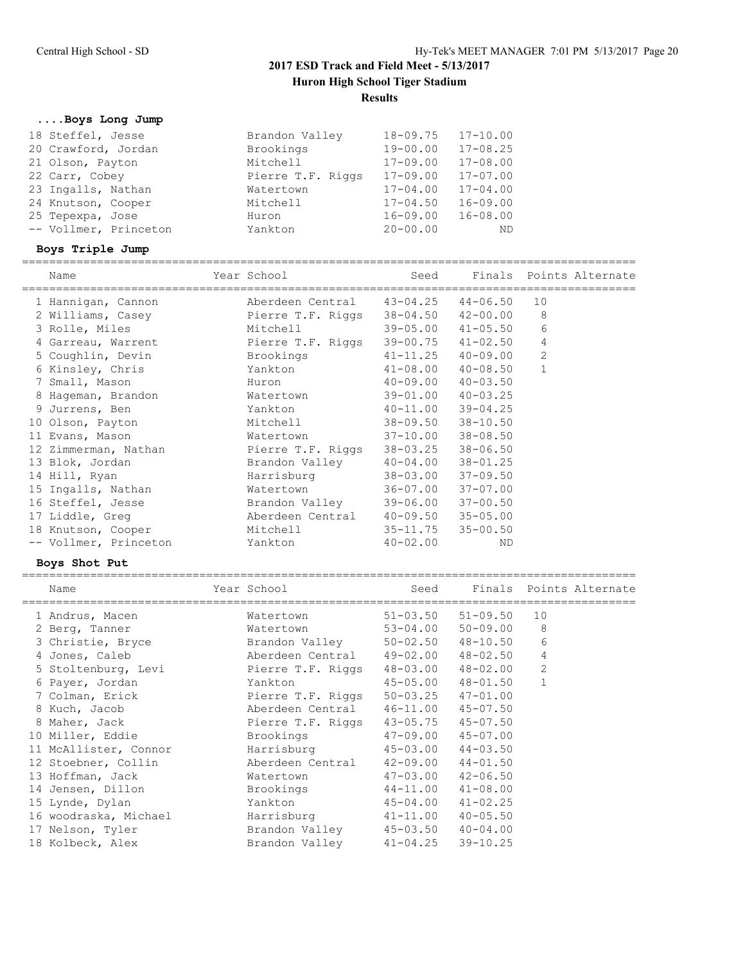**....Boys Long Jump**

| 18 Steffel, Jesse     | Brandon Valley    | $18 - 09.75$ $17 - 10.00$ |              |
|-----------------------|-------------------|---------------------------|--------------|
| 20 Crawford, Jordan   | Brookings         | $19 - 00.00$              | $17 - 08.25$ |
| 21 Olson, Payton      | Mitchell          | 17-09.00                  | 17-08.00     |
| 22 Carr, Cobey        | Pierre T.F. Riggs | $17 - 09.00$              | $17 - 07.00$ |
| 23 Ingalls, Nathan    | Watertown         | $17 - 04.00$              | $17 - 04.00$ |
| 24 Knutson, Cooper    | Mitchell          | $17 - 04.50$              | $16 - 09.00$ |
| 25 Tepexpa, Jose      | Huron             | $16 - 09.00$              | $16 - 08.00$ |
| -- Vollmer, Princeton | Yankton           | $20 - 00.00$              | ND           |

## **Boys Triple Jump**

| Name                                   | Year School                        |                           | Seed Finals Points Alternate |                |  |
|----------------------------------------|------------------------------------|---------------------------|------------------------------|----------------|--|
| 1 Hannigan, Cannon                     | Aberdeen Central 43-04.25 44-06.50 |                           |                              | 10             |  |
| 2 Williams, Casey  Pierre T.F. Riggs   |                                    |                           | 38-04.50 42-00.00            | 8              |  |
| 3 Rolle, Miles                         | Mitchell and Mitchell              |                           | 39-05.00 41-05.50            | 6              |  |
| 4 Garreau, Warrent Pierre T.F. Riggs   |                                    |                           | 39-00.75 41-02.50            | $\overline{4}$ |  |
| 5 Coughlin, Devin                      | Brookings                          |                           | $41 - 11.25$ $40 - 09.00$    | $\overline{c}$ |  |
| 6 Kinsley, Chris                       | <b>Example 12</b> Yankton          |                           | $41 - 08.00$ $40 - 08.50$    | $\mathbf{1}$   |  |
| 7 Small, Mason                         | Huron                              | $40 - 09.00$ $40 - 03.50$ |                              |                |  |
| 8 Hageman, Brandon                     | Watertown                          | $39 - 01.00$ $40 - 03.25$ |                              |                |  |
| 9 Jurrens, Ben                         | <b>Example 1</b> Yankton           | $40 - 11.00$ $39 - 04.25$ |                              |                |  |
| 10 Olson, Payton                       | Mitchell                           | $38 - 09.50$ $38 - 10.50$ |                              |                |  |
| 11 Evans, Mason                        | Watertown                          | $37 - 10.00$ $38 - 08.50$ |                              |                |  |
| 12 Zimmerman, Nathan Pierre T.F. Riggs |                                    | $38 - 03.25$ $38 - 06.50$ |                              |                |  |
| 13 Blok, Jordan                        | Brandon Valley $40-04.00$ 38-01.25 |                           |                              |                |  |
| 14 Hill, Ryan                          | Harrisburg                         | $38 - 03.00$ $37 - 09.50$ |                              |                |  |
| 15 Ingalls, Nathan                     | Watertown                          | 36-07.00 37-07.00         |                              |                |  |
| 16 Steffel, Jesse Brandon Valley       |                                    | $39 - 06.00$ $37 - 00.50$ |                              |                |  |
| 17 Liddle, Greg Aberdeen Central       |                                    | $40 - 09.50$ $35 - 05.00$ |                              |                |  |
| 18 Knutson, Cooper                     | Mitchell                           | $35 - 11.75$ $35 - 00.50$ |                              |                |  |
| -- Vollmer, Princeton                  | Yankton                            | $40 - 02.00$              | <b>ND</b>                    |                |  |

## **Boys Shot Put**

| Name<br>=========================                                    | Year School and the Material School<br>================================= |                           | Seed Finals Points Alternate |                |  |
|----------------------------------------------------------------------|--------------------------------------------------------------------------|---------------------------|------------------------------|----------------|--|
| 1 Andrus, Macen                                                      | Watertown                                                                |                           | $51-03.50$ $51-09.50$ 10     |                |  |
| 2 Berg, Tanner                                                       | Watertown                                                                |                           | $53 - 04.00$ $50 - 09.00$    | 8              |  |
| 3 Christie, Bryce Brandon Valley 50-02.50 48-10.50                   |                                                                          |                           |                              | 6              |  |
| 4 Jones, Caleb                                                       | Aberdeen Central $49-02.00$ $48-02.50$                                   |                           |                              | $\overline{4}$ |  |
| 5 Stoltenburg, Levi Pierre T.F. Riggs                                |                                                                          | 48-03.00 48-02.00 2       |                              |                |  |
| 6 Payer, Jordan                                                      | Yankton                                                                  | 45-05.00 48-01.50         |                              | $\mathbf{1}$   |  |
| 7 Colman, Erick                                                      | Pierre T.F. Riggs                                                        | $50 - 03.25$ $47 - 01.00$ |                              |                |  |
| 8 Kuch, Jacob                                                        | Aberdeen Central 46-11.00 45-07.50                                       |                           |                              |                |  |
| 8 Maher, Jack                                                        | Pierre T.F. Riggs  43-05.75  45-07.50                                    |                           |                              |                |  |
| 10 Miller, Eddie               Brookings         47-09.00   45-07.00 |                                                                          |                           |                              |                |  |
| 11 McAllister, Connor                                                | Harrisburg 45-03.00 44-03.50                                             |                           |                              |                |  |
| 12 Stoebner, Collin                                                  | Aberdeen Central 42-09.00 44-01.50                                       |                           |                              |                |  |
| 13 Hoffman, Jack Matertown 47-03.00 42-06.50                         |                                                                          |                           |                              |                |  |
| 14 Jensen, Dillon                                                    | <b>Brookings</b>                                                         | $44-11.00$ $41-08.00$     |                              |                |  |
| 15 Lynde, Dylan                                                      | Yankton  45-04.00  41-02.25                                              |                           |                              |                |  |
| 16 woodraska, Michael Barrisburg 41-11.00 40-05.50                   |                                                                          |                           |                              |                |  |
| 17 Nelson, Tyler                                                     | Brandon Valley 45-03.50 40-04.00                                         |                           |                              |                |  |
| 18 Kolbeck, Alex                                                     | Brandon Valley 41-04.25 39-10.25                                         |                           |                              |                |  |
|                                                                      |                                                                          |                           |                              |                |  |